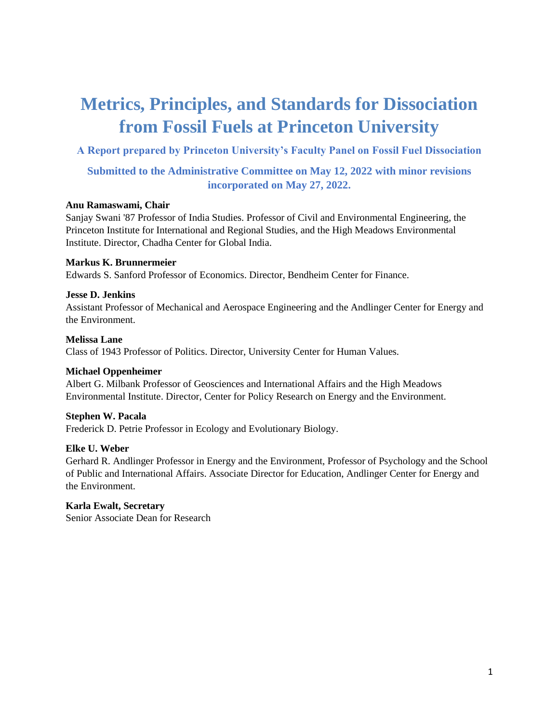# **Metrics, Principles, and Standards for Dissociation from Fossil Fuels at Princeton University**

### **A Report prepared by Princeton University's Faculty Panel on Fossil Fuel Dissociation**

### **Submitted to the Administrative Committee on May 12, 2022 with minor revisions incorporated on May 27, 2022.**

### **Anu Ramaswami, Chair**

Sanjay Swani '87 Professor of India Studies. Professor of Civil and Environmental Engineering, the Princeton Institute for International and Regional Studies, and the High Meadows Environmental Institute. Director, Chadha Center for Global India.

#### **Markus K. Brunnermeier**

Edwards S. Sanford Professor of Economics. Director, Bendheim Center for Finance.

### **Jesse D. Jenkins**

Assistant Professor of Mechanical and Aerospace Engineering and the Andlinger Center for Energy and the Environment.

#### **Melissa Lane**

Class of 1943 Professor of Politics. Director, University Center for Human Values.

#### **Michael Oppenheimer**

Albert G. Milbank Professor of Geosciences and International Affairs and the High Meadows Environmental Institute. Director, Center for Policy Research on Energy and the Environment.

### **Stephen W. Pacala**

Frederick D. Petrie Professor in Ecology and Evolutionary Biology.

#### **Elke U. Weber**

Gerhard R. Andlinger Professor in Energy and the Environment, Professor of Psychology and the School of Public and International Affairs. Associate Director for Education, Andlinger Center for Energy and the Environment.

### **Karla Ewalt, Secretary**

Senior Associate Dean for Research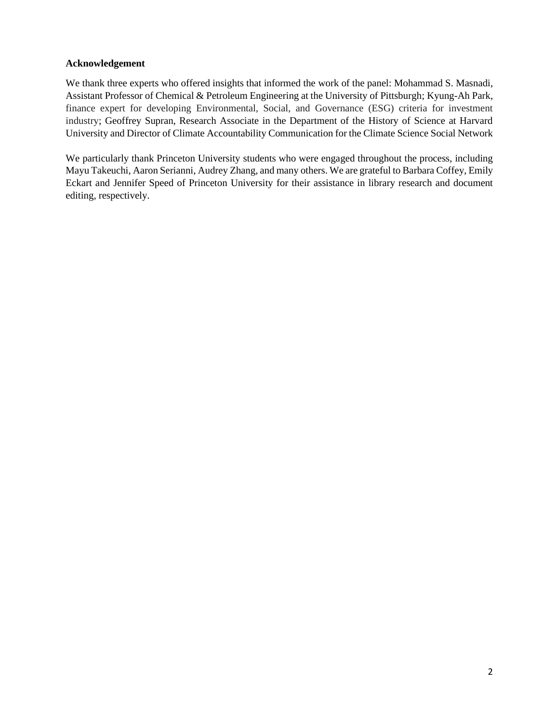#### **Acknowledgement**

We thank three experts who offered insights that informed the work of the panel: Mohammad S. Masnadi, Assistant Professor of Chemical & Petroleum Engineering at the University of Pittsburgh; Kyung-Ah Park, finance expert for developing Environmental, Social, and Governance (ESG) criteria for investment industry; Geoffrey Supran, Research Associate in the Department of the History of Science at Harvard University and Director of Climate Accountability Communication for the Climate Science Social Network

We particularly thank Princeton University students who were engaged throughout the process, including Mayu Takeuchi, Aaron Serianni, Audrey Zhang, and many others. We are grateful to Barbara Coffey, Emily Eckart and Jennifer Speed of Princeton University for their assistance in library research and document editing, respectively.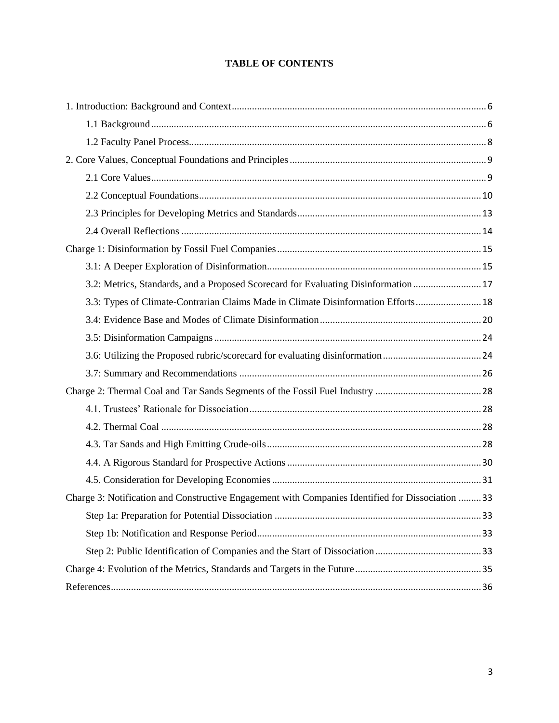#### **TABLE OF CONTENTS**

| 3.2: Metrics, Standards, and a Proposed Scorecard for Evaluating Disinformation  17               |  |
|---------------------------------------------------------------------------------------------------|--|
| 3.3: Types of Climate-Contrarian Claims Made in Climate Disinformation Efforts 18                 |  |
|                                                                                                   |  |
|                                                                                                   |  |
|                                                                                                   |  |
|                                                                                                   |  |
|                                                                                                   |  |
|                                                                                                   |  |
|                                                                                                   |  |
|                                                                                                   |  |
|                                                                                                   |  |
|                                                                                                   |  |
| Charge 3: Notification and Constructive Engagement with Companies Identified for Dissociation  33 |  |
|                                                                                                   |  |
|                                                                                                   |  |
|                                                                                                   |  |
|                                                                                                   |  |
|                                                                                                   |  |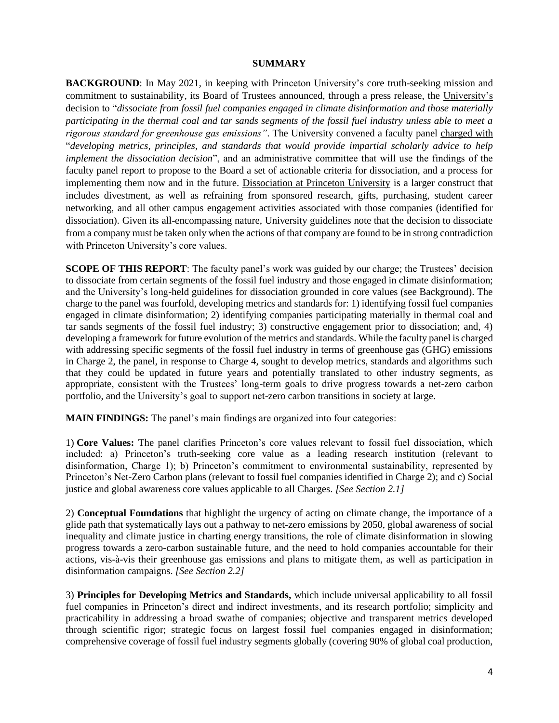#### **SUMMARY**

**BACKGROUND:** In May 2021, in keeping with Princeton University's core truth-seeking mission and commitment to sustainability, its Board of Trustees announced, through a press release, the University's decision to "*dissociate from fossil fuel companies engaged in climate disinformation and those materially participating in the thermal coal and tar sands segments of the fossil fuel industry unless able to meet a rigorous standard for greenhouse gas emissions"*. The University convened a faculty panel charged with "*developing metrics, principles, and standards that would provide impartial scholarly advice to help implement the dissociation decision*", and an administrative committee that will use the findings of the faculty panel report to propose to the Board a set of actionable criteria for dissociation, and a process for implementing them now and in the future. Dissociation at Princeton University is a larger construct that includes divestment, as well as refraining from sponsored research, gifts, purchasing, student career networking, and all other campus engagement activities associated with those companies (identified for dissociation). Given its all-encompassing nature, University guidelines note that the decision to dissociate from a company must be taken only when the actions of that company are found to be in strong contradiction with Princeton University's core values.

**SCOPE OF THIS REPORT**: The faculty panel's work was guided by our charge; the Trustees' decision to dissociate from certain segments of the fossil fuel industry and those engaged in climate disinformation; and the University's long-held guidelines for dissociation grounded in core values (see Background). The charge to the panel was fourfold, developing metrics and standards for: 1) identifying fossil fuel companies engaged in climate disinformation; 2) identifying companies participating materially in thermal coal and tar sands segments of the fossil fuel industry; 3) constructive engagement prior to dissociation; and, 4) developing a framework for future evolution of the metrics and standards. While the faculty panel is charged with addressing specific segments of the fossil fuel industry in terms of greenhouse gas (GHG) emissions in Charge 2, the panel, in response to Charge 4, sought to develop metrics, standards and algorithms such that they could be updated in future years and potentially translated to other industry segments, as appropriate, consistent with the Trustees' long-term goals to drive progress towards a net-zero carbon portfolio, and the University's goal to support net-zero carbon transitions in society at large.

**MAIN FINDINGS:** The panel's main findings are organized into four categories:

1) **Core Values:** The panel clarifies Princeton's core values relevant to fossil fuel dissociation, which included: a) Princeton's truth-seeking core value as a leading research institution (relevant to disinformation, Charge 1); b) Princeton's commitment to environmental sustainability, represented by Princeton's Net-Zero Carbon plans (relevant to fossil fuel companies identified in Charge 2); and c) Social justice and global awareness core values applicable to all Charges. *[See Section 2.1]*

2) **Conceptual Foundations** that highlight the urgency of acting on climate change, the importance of a glide path that systematically lays out a pathway to net-zero emissions by 2050, global awareness of social inequality and climate justice in charting energy transitions, the role of climate disinformation in slowing progress towards a zero-carbon sustainable future, and the need to hold companies accountable for their actions, vis-à-vis their greenhouse gas emissions and plans to mitigate them, as well as participation in disinformation campaigns. *[See Section 2.2]*

3) **Principles for Developing Metrics and Standards,** which include universal applicability to all fossil fuel companies in Princeton's direct and indirect investments, and its research portfolio; simplicity and practicability in addressing a broad swathe of companies; objective and transparent metrics developed through scientific rigor; strategic focus on largest fossil fuel companies engaged in disinformation; comprehensive coverage of fossil fuel industry segments globally (covering 90% of global coal production,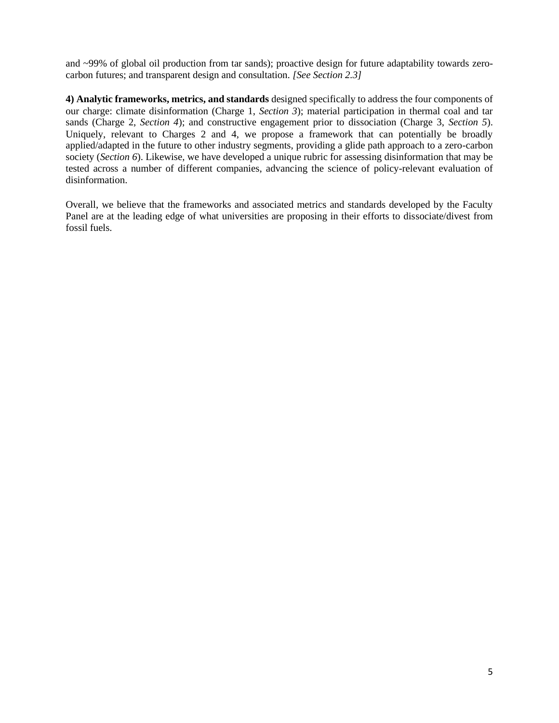and ~99% of global oil production from tar sands); proactive design for future adaptability towards zerocarbon futures; and transparent design and consultation. *[See Section 2.3]*

**4) Analytic frameworks, metrics, and standards** designed specifically to address the four components of our charge: climate disinformation (Charge 1, *Section 3*); material participation in thermal coal and tar sands (Charge 2, *Section 4*); and constructive engagement prior to dissociation (Charge 3, *Section 5*). Uniquely, relevant to Charges 2 and 4, we propose a framework that can potentially be broadly applied/adapted in the future to other industry segments, providing a glide path approach to a zero-carbon society (*Section 6*). Likewise, we have developed a unique rubric for assessing disinformation that may be tested across a number of different companies, advancing the science of policy-relevant evaluation of disinformation.

Overall, we believe that the frameworks and associated metrics and standards developed by the Faculty Panel are at the leading edge of what universities are proposing in their efforts to dissociate/divest from fossil fuels.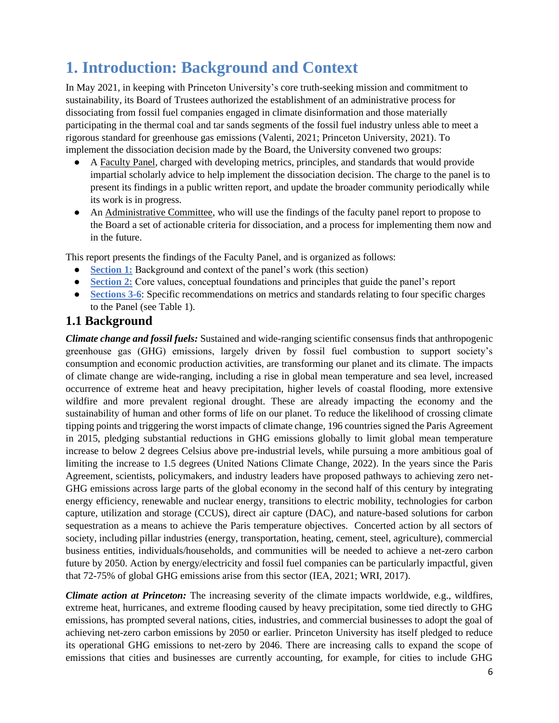# <span id="page-5-0"></span>**1. Introduction: Background and Context**

In May 2021, in keeping with Princeton University's core truth-seeking mission and commitment to sustainability, its Board of Trustees authorized the establishment of an administrative process for dissociating from fossil fuel companies engaged in climate disinformation and those materially participating in the thermal coal and tar sands segments of the fossil fuel industry unless able to meet a rigorous standard for greenhouse gas emissions (Valenti, 2021; Princeton University, 2021). To implement the dissociation decision made by the Board, the University convened two groups:

- A Faculty Panel, charged with developing metrics, principles, and standards that would provide impartial scholarly advice to help implement the dissociation decision. The charge to the panel is to present its findings in a public written report, and update the broader community periodically while its work is in progress.
- An Administrative Committee, who will use the findings of the faculty panel report to propose to the Board a set of actionable criteria for dissociation, and a process for implementing them now and in the future.

This report presents the findings of the Faculty Panel, and is organized as follows:

- **Section 1:** Background and context of the panel's work (this section)
- **Section 2:** Core values, conceptual foundations and principles that guide the panel's report
- **Sections 3-6:** Specific recommendations on metrics and standards relating to four specific charges to the Panel (see Table 1).

### <span id="page-5-1"></span>**1.1 Background**

*Climate change and fossil fuels:* Sustained and wide-ranging scientific consensus finds that anthropogenic greenhouse gas (GHG) emissions, largely driven by fossil fuel combustion to support society's consumption and economic production activities, are transforming our planet and its climate. The impacts of climate change are wide-ranging, including a rise in global mean temperature and sea level, increased occurrence of extreme heat and heavy precipitation, higher levels of coastal flooding, more extensive wildfire and more prevalent regional drought. These are already impacting the economy and the sustainability of human and other forms of life on our planet. To reduce the likelihood of crossing climate tipping points and triggering the worst impacts of climate change, 196 countries signed the Paris Agreement in 2015, pledging substantial reductions in GHG emissions globally to limit global mean temperature increase to below 2 degrees Celsius above pre-industrial levels, while pursuing a more ambitious goal of limiting the increase to 1.5 degrees (United Nations Climate Change, 2022). In the years since the Paris Agreement, scientists, policymakers, and industry leaders have proposed pathways to achieving zero net-GHG emissions across large parts of the global economy in the second half of this century by integrating energy efficiency, renewable and nuclear energy, transitions to electric mobility, technologies for carbon capture, utilization and storage (CCUS), direct air capture (DAC), and nature-based solutions for carbon sequestration as a means to achieve the Paris temperature objectives. Concerted action by all sectors of society, including pillar industries (energy, transportation, heating, cement, steel, agriculture), commercial business entities, individuals/households, and communities will be needed to achieve a net-zero carbon future by 2050. Action by energy/electricity and fossil fuel companies can be particularly impactful, given that 72-75% of global GHG emissions arise from this sector (IEA, 2021; WRI, 2017).

*Climate action at Princeton:* The increasing severity of the climate impacts worldwide, e.g., wildfires, extreme heat, hurricanes, and extreme flooding caused by heavy precipitation, some tied directly to GHG emissions, has prompted several nations, cities, industries, and commercial businesses to adopt the goal of achieving net-zero carbon emissions by 2050 or earlier. Princeton University has itself pledged to reduce its operational GHG emissions to net-zero by 2046. There are increasing calls to expand the scope of emissions that cities and businesses are currently accounting, for example, for cities to include GHG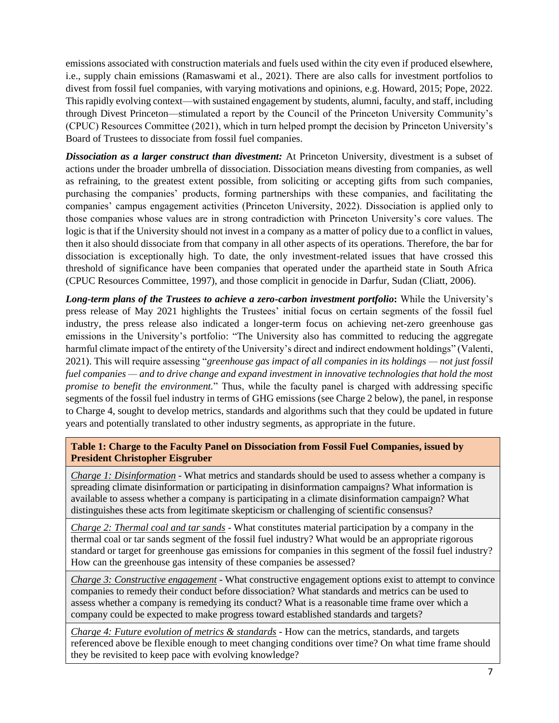emissions associated with construction materials and fuels used within the city even if produced elsewhere, i.e., supply chain emissions (Ramaswami et al., 2021). There are also calls for investment portfolios to divest from fossil fuel companies, with varying motivations and opinions, e.g. Howard, 2015; Pope, 2022. This rapidly evolving context—with sustained engagement by students, alumni, faculty, and staff, including through Divest Princeton—stimulated a report by the Council of the Princeton University Community's (CPUC) Resources Committee (2021), which in turn helped prompt the decision by Princeton University's Board of Trustees to dissociate from fossil fuel companies.

*Dissociation as a larger construct than divestment:* At Princeton University, divestment is a subset of actions under the broader umbrella of dissociation. Dissociation means divesting from companies, as well as refraining, to the greatest extent possible, from soliciting or accepting gifts from such companies, purchasing the companies' products, forming partnerships with these companies, and facilitating the companies' campus engagement activities (Princeton University, 2022). Dissociation is applied only to those companies whose values are in strong contradiction with Princeton University's core values. The logic is that if the University should not invest in a company as a matter of policy due to a conflict in values, then it also should dissociate from that company in all other aspects of its operations. Therefore, the bar for dissociation is exceptionally high. To date, the only investment-related issues that have crossed this threshold of significance have been companies that operated under the apartheid state in South Africa (CPUC Resources Committee, 1997), and those complicit in genocide in Darfur, Sudan (Cliatt, 2006).

*Long-term plans of the Trustees to achieve a zero-carbon investment portfolio***:** While the University's press release of May 2021 highlights the Trustees' initial focus on certain segments of the fossil fuel industry, the press release also indicated a longer-term focus on achieving net-zero greenhouse gas emissions in the University's portfolio: "The University also has committed to reducing the aggregate harmful climate impact of the entirety of the University's direct and indirect endowment holdings" (Valenti, 2021). This will require assessing "*greenhouse gas impact of all companies in its holdings — not just fossil fuel companies — and to drive change and expand investment in innovative technologies that hold the most promise to benefit the environment.*" Thus, while the faculty panel is charged with addressing specific segments of the fossil fuel industry in terms of GHG emissions (see Charge 2 below), the panel, in response to Charge 4, sought to develop metrics, standards and algorithms such that they could be updated in future years and potentially translated to other industry segments, as appropriate in the future.

#### **Table 1: Charge to the Faculty Panel on Dissociation from Fossil Fuel Companies, issued by President Christopher Eisgruber**

*Charge 1: Disinformation* - What metrics and standards should be used to assess whether a company is spreading climate disinformation or participating in disinformation campaigns? What information is available to assess whether a company is participating in a climate disinformation campaign? What distinguishes these acts from legitimate skepticism or challenging of scientific consensus?

*Charge 2: Thermal coal and tar sands* - What constitutes material participation by a company in the thermal coal or tar sands segment of the fossil fuel industry? What would be an appropriate rigorous standard or target for greenhouse gas emissions for companies in this segment of the fossil fuel industry? How can the greenhouse gas intensity of these companies be assessed?

*Charge 3: Constructive engagement* - What constructive engagement options exist to attempt to convince companies to remedy their conduct before dissociation? What standards and metrics can be used to assess whether a company is remedying its conduct? What is a reasonable time frame over which a company could be expected to make progress toward established standards and targets?

*Charge 4: Future evolution of metrics & standards -* How can the metrics, standards, and targets referenced above be flexible enough to meet changing conditions over time? On what time frame should they be revisited to keep pace with evolving knowledge?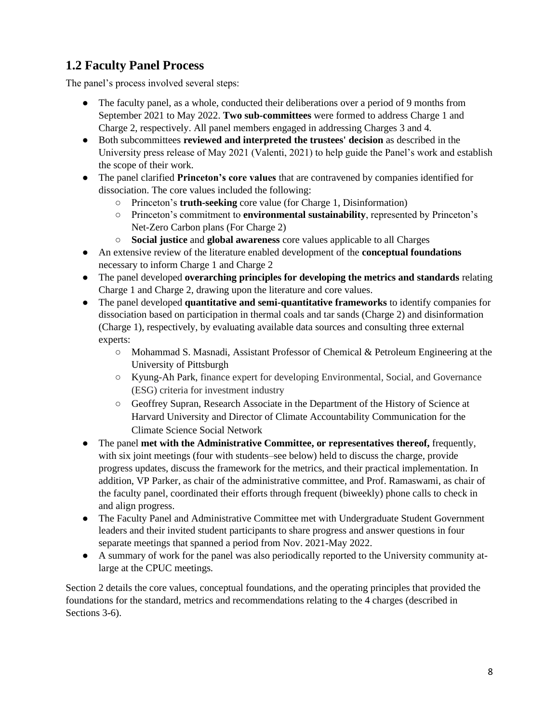# <span id="page-7-0"></span>**1.2 Faculty Panel Process**

The panel's process involved several steps:

- The faculty panel, as a whole, conducted their deliberations over a period of 9 months from September 2021 to May 2022. **Two sub-committees** were formed to address Charge 1 and Charge 2, respectively. All panel members engaged in addressing Charges 3 and 4.
- Both subcommittees **reviewed and interpreted the trustees' decision** as described in the University press release of May 2021 (Valenti, 2021) to help guide the Panel's work and establish the scope of their work.
- The panel clarified **Princeton's core values** that are contravened by companies identified for dissociation. The core values included the following:
	- Princeton's **truth-seeking** core value (for Charge 1, Disinformation)
	- Princeton's commitment to **environmental sustainability**, represented by Princeton's Net-Zero Carbon plans (For Charge 2)
	- **Social justice** and **global awareness** core values applicable to all Charges
- An extensive review of the literature enabled development of the **conceptual foundations**  necessary to inform Charge 1 and Charge 2
- The panel developed **overarching principles for developing the metrics and standards** relating Charge 1 and Charge 2, drawing upon the literature and core values.
- The panel developed **quantitative and semi-quantitative frameworks** to identify companies for dissociation based on participation in thermal coals and tar sands (Charge 2) and disinformation (Charge 1), respectively, by evaluating available data sources and consulting three external experts:
	- Mohammad S. Masnadi, Assistant Professor of Chemical & Petroleum Engineering at the University of Pittsburgh
	- Kyung-Ah Park, finance expert for developing Environmental, Social, and Governance (ESG) criteria for investment industry
	- Geoffrey Supran, Research Associate in the Department of the History of Science at Harvard University and Director of Climate Accountability Communication for the Climate Science Social Network
- The panel **met with the Administrative Committee, or representatives thereof,** frequently, with six joint meetings (four with students–see below) held to discuss the charge, provide progress updates, discuss the framework for the metrics, and their practical implementation. In addition, VP Parker, as chair of the administrative committee, and Prof. Ramaswami, as chair of the faculty panel, coordinated their efforts through frequent (biweekly) phone calls to check in and align progress.
- The Faculty Panel and Administrative Committee met with Undergraduate Student Government leaders and their invited student participants to share progress and answer questions in four separate meetings that spanned a period from Nov. 2021-May 2022.
- A summary of work for the panel was also periodically reported to the University community atlarge at the CPUC meetings.

Section 2 details the core values, conceptual foundations, and the operating principles that provided the foundations for the standard, metrics and recommendations relating to the 4 charges (described in Sections 3-6).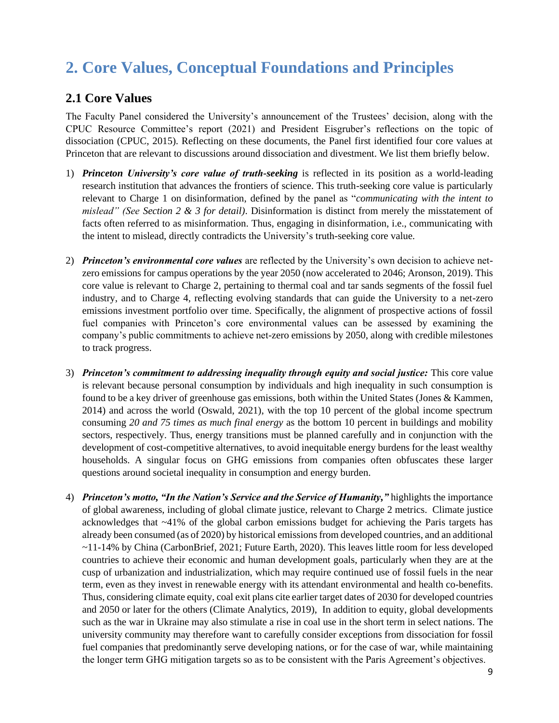# <span id="page-8-0"></span>**2. Core Values, Conceptual Foundations and Principles**

### <span id="page-8-1"></span>**2.1 Core Values**

The Faculty Panel considered the University's announcement of the Trustees' decision, along with the CPUC Resource Committee's report (2021) and President Eisgruber's reflections on the topic of dissociation (CPUC, 2015). Reflecting on these documents, the Panel first identified four core values at Princeton that are relevant to discussions around dissociation and divestment. We list them briefly below.

- 1) *Princeton University's core value of truth-seeking* is reflected in its position as a world-leading research institution that advances the frontiers of science. This truth-seeking core value is particularly relevant to Charge 1 on disinformation, defined by the panel as "*communicating with the intent to mislead" (See Section 2 & 3 for detail)*. Disinformation is distinct from merely the misstatement of facts often referred to as misinformation. Thus, engaging in disinformation, i.e., communicating with the intent to mislead, directly contradicts the University's truth-seeking core value.
- 2) *Princeton's environmental core values* are reflected by the University's own decision to achieve netzero emissions for campus operations by the year 2050 (now accelerated to 2046; Aronson, 2019). This core value is relevant to Charge 2, pertaining to thermal coal and tar sands segments of the fossil fuel industry, and to Charge 4, reflecting evolving standards that can guide the University to a net-zero emissions investment portfolio over time. Specifically, the alignment of prospective actions of fossil fuel companies with Princeton's core environmental values can be assessed by examining the company's public commitments to achieve net-zero emissions by 2050, along with credible milestones to track progress.
- 3) *Princeton's commitment to addressing inequality through equity and social justice:* This core value is relevant because personal consumption by individuals and high inequality in such consumption is found to be a key driver of greenhouse gas emissions, both within the United States (Jones & Kammen, 2014) and across the world (Oswald, 2021), with the top 10 percent of the global income spectrum consuming *20 and 75 times as much final energy* as the bottom 10 percent in buildings and mobility sectors, respectively. Thus, energy transitions must be planned carefully and in conjunction with the development of cost-competitive alternatives, to avoid inequitable energy burdens for the least wealthy households. A singular focus on GHG emissions from companies often obfuscates these larger questions around societal inequality in consumption and energy burden.
- 4) *Princeton's motto, "In the Nation's Service and the Service of Humanity,"* highlights the importance of global awareness, including of global climate justice, relevant to Charge 2 metrics. Climate justice acknowledges that ~41% of the global carbon emissions budget for achieving the Paris targets has already been consumed (as of 2020) by historical emissions from developed countries, and an additional ~11-14% by China (CarbonBrief, 2021; Future Earth, 2020). This leaves little room for less developed countries to achieve their economic and human development goals, particularly when they are at the cusp of urbanization and industrialization, which may require continued use of fossil fuels in the near term, even as they invest in renewable energy with its attendant environmental and health co-benefits. Thus, considering climate equity, coal exit plans cite earlier target dates of 2030 for developed countries and 2050 or later for the others (Climate Analytics, 2019), In addition to equity, global developments such as the war in Ukraine may also stimulate a rise in coal use in the short term in select nations. The university community may therefore want to carefully consider exceptions from dissociation for fossil fuel companies that predominantly serve developing nations, or for the case of war, while maintaining the longer term GHG mitigation targets so as to be consistent with the Paris Agreement's objectives.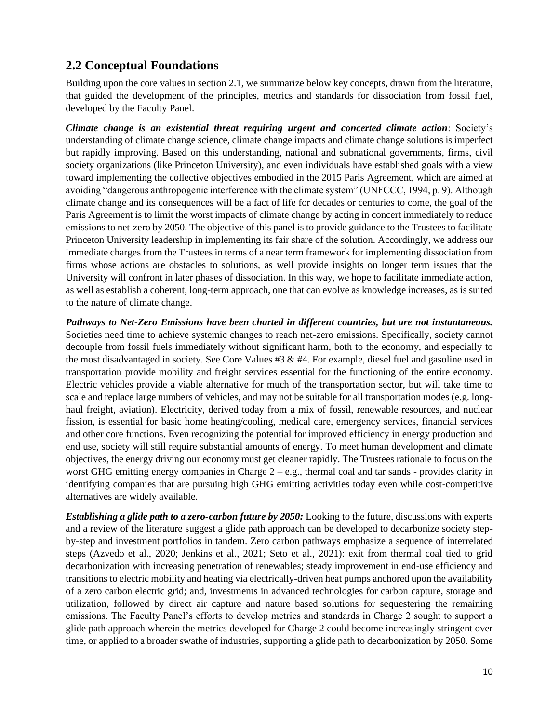### <span id="page-9-0"></span>**2.2 Conceptual Foundations**

Building upon the core values in section 2.1, we summarize below key concepts, drawn from the literature, that guided the development of the principles, metrics and standards for dissociation from fossil fuel, developed by the Faculty Panel.

*Climate change is an existential threat requiring urgent and concerted climate action*: Society's understanding of climate change science, climate change impacts and climate change solutions is imperfect but rapidly improving. Based on this understanding, national and subnational governments, firms, civil society organizations (like Princeton University), and even individuals have established goals with a view toward implementing the collective objectives embodied in the 2015 Paris Agreement, which are aimed at avoiding "dangerous anthropogenic interference with the climate system" (UNFCCC, 1994, p. 9). Although climate change and its consequences will be a fact of life for decades or centuries to come, the goal of the Paris Agreement is to limit the worst impacts of climate change by acting in concert immediately to reduce emissions to net-zero by 2050. The objective of this panel is to provide guidance to the Trustees to facilitate Princeton University leadership in implementing its fair share of the solution. Accordingly, we address our immediate charges from the Trustees in terms of a near term framework for implementing dissociation from firms whose actions are obstacles to solutions, as well provide insights on longer term issues that the University will confront in later phases of dissociation. In this way, we hope to facilitate immediate action, as well as establish a coherent, long-term approach, one that can evolve as knowledge increases, as is suited to the nature of climate change.

*Pathways to Net-Zero Emissions have been charted in different countries, but are not instantaneous.* Societies need time to achieve systemic changes to reach net-zero emissions. Specifically, society cannot decouple from fossil fuels immediately without significant harm, both to the economy, and especially to the most disadvantaged in society. See Core Values #3 & #4. For example, diesel fuel and gasoline used in transportation provide mobility and freight services essential for the functioning of the entire economy. Electric vehicles provide a viable alternative for much of the transportation sector, but will take time to scale and replace large numbers of vehicles, and may not be suitable for all transportation modes (e.g. longhaul freight, aviation). Electricity, derived today from a mix of fossil, renewable resources, and nuclear fission, is essential for basic home heating/cooling, medical care, emergency services, financial services and other core functions. Even recognizing the potential for improved efficiency in energy production and end use, society will still require substantial amounts of energy. To meet human development and climate objectives, the energy driving our economy must get cleaner rapidly. The Trustees rationale to focus on the worst GHG emitting energy companies in Charge 2 – e.g., thermal coal and tar sands - provides clarity in identifying companies that are pursuing high GHG emitting activities today even while cost-competitive alternatives are widely available.

*Establishing a glide path to a zero-carbon future by 2050:* Looking to the future, discussions with experts and a review of the literature suggest a glide path approach can be developed to decarbonize society stepby-step and investment portfolios in tandem. Zero carbon pathways emphasize a sequence of interrelated steps (Azvedo et al., 2020; Jenkins et al., 2021; Seto et al., 2021): exit from thermal coal tied to grid decarbonization with increasing penetration of renewables; steady improvement in end-use efficiency and transitions to electric mobility and heating via electrically-driven heat pumps anchored upon the availability of a zero carbon electric grid; and, investments in advanced technologies for carbon capture, storage and utilization, followed by direct air capture and nature based solutions for sequestering the remaining emissions. The Faculty Panel's efforts to develop metrics and standards in Charge 2 sought to support a glide path approach wherein the metrics developed for Charge 2 could become increasingly stringent over time, or applied to a broader swathe of industries, supporting a glide path to decarbonization by 2050. Some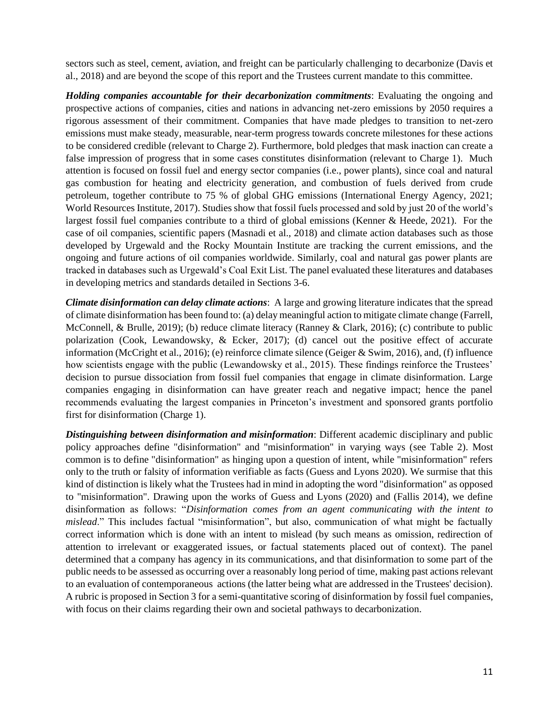sectors such as steel, cement, aviation, and freight can be particularly challenging to decarbonize (Davis et al., 2018) and are beyond the scope of this report and the Trustees current mandate to this committee.

*Holding companies accountable for their decarbonization commitments*: Evaluating the ongoing and prospective actions of companies, cities and nations in advancing net-zero emissions by 2050 requires a rigorous assessment of their commitment. Companies that have made pledges to transition to net-zero emissions must make steady, measurable, near-term progress towards concrete milestones for these actions to be considered credible (relevant to Charge 2). Furthermore, bold pledges that mask inaction can create a false impression of progress that in some cases constitutes disinformation (relevant to Charge 1). Much attention is focused on fossil fuel and energy sector companies (i.e., power plants), since coal and natural gas combustion for heating and electricity generation, and combustion of fuels derived from crude petroleum, together contribute to 75 % of global GHG emissions (International Energy Agency, 2021; World Resources Institute, 2017). Studies show that fossil fuels processed and sold by just 20 of the world's largest fossil fuel companies contribute to a third of global emissions (Kenner & Heede, 2021). For the case of oil companies, scientific papers (Masnadi et al., 2018) and climate action databases such as those developed by Urgewald and the Rocky Mountain Institute are tracking the current emissions, and the ongoing and future actions of oil companies worldwide. Similarly, coal and natural gas power plants are tracked in databases such as Urgewald's Coal Exit List. The panel evaluated these literatures and databases in developing metrics and standards detailed in Sections 3-6.

*Climate disinformation can delay climate actions*: A large and growing literature indicates that the spread of climate disinformation has been found to: (a) delay meaningful action to mitigate climate change (Farrell, McConnell, & Brulle, 2019); (b) reduce climate literacy (Ranney & Clark, 2016); (c) contribute to public polarization (Cook, Lewandowsky, & Ecker, 2017); (d) cancel out the positive effect of accurate information (McCright et al., 2016); (e) reinforce climate silence (Geiger & Swim, 2016), and, (f) influence how scientists engage with the public (Lewandowsky et al., 2015). These findings reinforce the Trustees' decision to pursue dissociation from fossil fuel companies that engage in climate disinformation. Large companies engaging in disinformation can have greater reach and negative impact; hence the panel recommends evaluating the largest companies in Princeton's investment and sponsored grants portfolio first for disinformation (Charge 1).

*Distinguishing between disinformation and misinformation*: Different academic disciplinary and public policy approaches define "disinformation" and "misinformation" in varying ways (see Table 2). Most common is to define "disinformation" as hinging upon a question of intent, while "misinformation" refers only to the truth or falsity of information verifiable as facts (Guess and Lyons 2020). We surmise that this kind of distinction is likely what the Trustees had in mind in adopting the word "disinformation" as opposed to "misinformation". Drawing upon the works of Guess and Lyons (2020) and (Fallis 2014), we define disinformation as follows: "*Disinformation comes from an agent communicating with the intent to mislead*." This includes factual "misinformation", but also, communication of what might be factually correct information which is done with an intent to mislead (by such means as omission, redirection of attention to irrelevant or exaggerated issues, or factual statements placed out of context). The panel determined that a company has agency in its communications, and that disinformation to some part of the public needs to be assessed as occurring over a reasonably long period of time, making past actions relevant to an evaluation of contemporaneous actions (the latter being what are addressed in the Trustees' decision). A rubric is proposed in Section 3 for a semi-quantitative scoring of disinformation by fossil fuel companies, with focus on their claims regarding their own and societal pathways to decarbonization.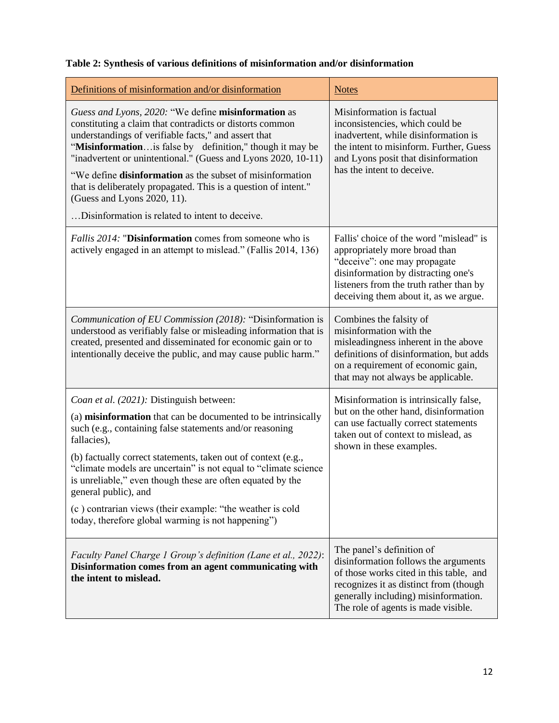|  |  | Table 2: Synthesis of various definitions of misinformation and/or disinformation |  |
|--|--|-----------------------------------------------------------------------------------|--|
|  |  |                                                                                   |  |

| Definitions of misinformation and/or disinformation                                                                                                                                                                                                                                                                                                                                                                                                                                                                                | <b>Notes</b>                                                                                                                                                                                                                          |
|------------------------------------------------------------------------------------------------------------------------------------------------------------------------------------------------------------------------------------------------------------------------------------------------------------------------------------------------------------------------------------------------------------------------------------------------------------------------------------------------------------------------------------|---------------------------------------------------------------------------------------------------------------------------------------------------------------------------------------------------------------------------------------|
| Guess and Lyons, 2020: "We define misinformation as<br>constituting a claim that contradicts or distorts common<br>understandings of verifiable facts," and assert that<br>"Misinformation is false by definition," though it may be<br>"inadvertent or unintentional." (Guess and Lyons 2020, 10-11)<br>"We define <b>disinformation</b> as the subset of misinformation<br>that is deliberately propagated. This is a question of intent."<br>(Guess and Lyons 2020, 11).<br>Disinformation is related to intent to deceive.     | Misinformation is factual<br>inconsistencies, which could be<br>inadvertent, while disinformation is<br>the intent to misinform. Further, Guess<br>and Lyons posit that disinformation<br>has the intent to deceive.                  |
| <i>Fallis 2014:</i> "Disinformation comes from someone who is<br>actively engaged in an attempt to mislead." (Fallis 2014, 136)                                                                                                                                                                                                                                                                                                                                                                                                    | Fallis' choice of the word "mislead" is<br>appropriately more broad than<br>"deceive": one may propagate<br>disinformation by distracting one's<br>listeners from the truth rather than by<br>deceiving them about it, as we argue.   |
| Communication of EU Commission (2018): "Disinformation is<br>understood as verifiably false or misleading information that is<br>created, presented and disseminated for economic gain or to<br>intentionally deceive the public, and may cause public harm."                                                                                                                                                                                                                                                                      | Combines the falsity of<br>misinformation with the<br>misleadingness inherent in the above<br>definitions of disinformation, but adds<br>on a requirement of economic gain,<br>that may not always be applicable.                     |
| Coan et al. (2021): Distinguish between:<br>(a) misinformation that can be documented to be intrinsically<br>such (e.g., containing false statements and/or reasoning<br>fallacies),<br>(b) factually correct statements, taken out of context (e.g.,<br>"climate models are uncertain" is not equal to "climate science"<br>is unreliable," even though these are often equated by the<br>general public), and<br>(c) contrarian views (their example: "the weather is cold<br>today, therefore global warming is not happening") | Misinformation is intrinsically false,<br>but on the other hand, disinformation<br>can use factually correct statements<br>taken out of context to mislead, as<br>shown in these examples.                                            |
| Faculty Panel Charge 1 Group's definition (Lane et al., 2022):<br>Disinformation comes from an agent communicating with<br>the intent to mislead.                                                                                                                                                                                                                                                                                                                                                                                  | The panel's definition of<br>disinformation follows the arguments<br>of those works cited in this table, and<br>recognizes it as distinct from (though<br>generally including) misinformation.<br>The role of agents is made visible. |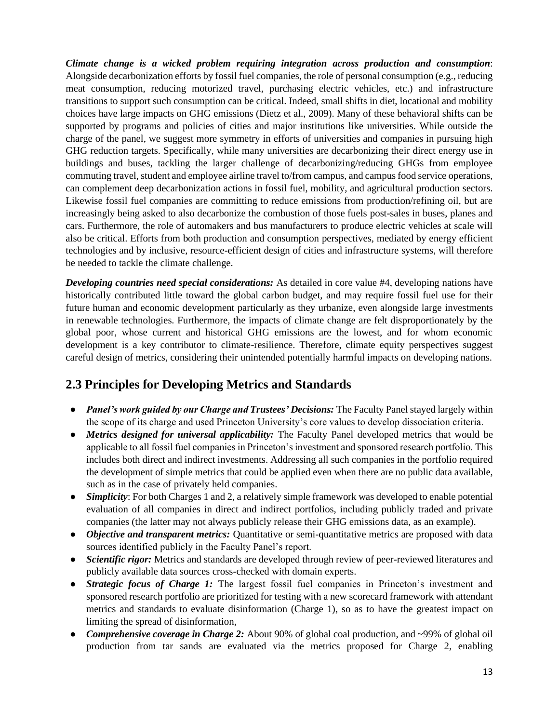*Climate change is a wicked problem requiring integration across production and consumption*: Alongside decarbonization efforts by fossil fuel companies, the role of personal consumption (e.g., reducing meat consumption, reducing motorized travel, purchasing electric vehicles, etc.) and infrastructure transitions to support such consumption can be critical. Indeed, small shifts in diet, locational and mobility choices have large impacts on GHG emissions (Dietz et al., 2009). Many of these behavioral shifts can be supported by programs and policies of cities and major institutions like universities. While outside the charge of the panel, we suggest more symmetry in efforts of universities and companies in pursuing high GHG reduction targets. Specifically, while many universities are decarbonizing their direct energy use in buildings and buses, tackling the larger challenge of decarbonizing/reducing GHGs from employee commuting travel, student and employee airline travel to/from campus, and campus food service operations, can complement deep decarbonization actions in fossil fuel, mobility, and agricultural production sectors. Likewise fossil fuel companies are committing to reduce emissions from production/refining oil, but are increasingly being asked to also decarbonize the combustion of those fuels post-sales in buses, planes and cars. Furthermore, the role of automakers and bus manufacturers to produce electric vehicles at scale will also be critical. Efforts from both production and consumption perspectives, mediated by energy efficient technologies and by inclusive, resource-efficient design of cities and infrastructure systems, will therefore be needed to tackle the climate challenge.

*Developing countries need special considerations:* As detailed in core value #4, developing nations have historically contributed little toward the global carbon budget, and may require fossil fuel use for their future human and economic development particularly as they urbanize, even alongside large investments in renewable technologies. Furthermore, the impacts of climate change are felt disproportionately by the global poor, whose current and historical GHG emissions are the lowest, and for whom economic development is a key contributor to climate-resilience. Therefore, climate equity perspectives suggest careful design of metrics, considering their unintended potentially harmful impacts on developing nations.

# <span id="page-12-0"></span>**2.3 Principles for Developing Metrics and Standards**

- *Panel's work guided by our Charge and Trustees' Decisions:* The Faculty Panel stayed largely within the scope of its charge and used Princeton University's core values to develop dissociation criteria.
- *Metrics designed for universal applicability:* The Faculty Panel developed metrics that would be applicable to all fossil fuel companies in Princeton's investment and sponsored research portfolio. This includes both direct and indirect investments. Addressing all such companies in the portfolio required the development of simple metrics that could be applied even when there are no public data available, such as in the case of privately held companies.
- *Simplicity*: For both Charges 1 and 2, a relatively simple framework was developed to enable potential evaluation of all companies in direct and indirect portfolios, including publicly traded and private companies (the latter may not always publicly release their GHG emissions data, as an example).
- *Objective and transparent metrics:* Quantitative or semi-quantitative metrics are proposed with data sources identified publicly in the Faculty Panel's report.
- *Scientific rigor:* Metrics and standards are developed through review of peer-reviewed literatures and publicly available data sources cross-checked with domain experts.
- *Strategic focus of Charge 1:* The largest fossil fuel companies in Princeton's investment and sponsored research portfolio are prioritized for testing with a new scorecard framework with attendant metrics and standards to evaluate disinformation (Charge 1), so as to have the greatest impact on limiting the spread of disinformation,
- **Comprehensive coverage in Charge 2:** About 90% of global coal production, and ~99% of global oil production from tar sands are evaluated via the metrics proposed for Charge 2, enabling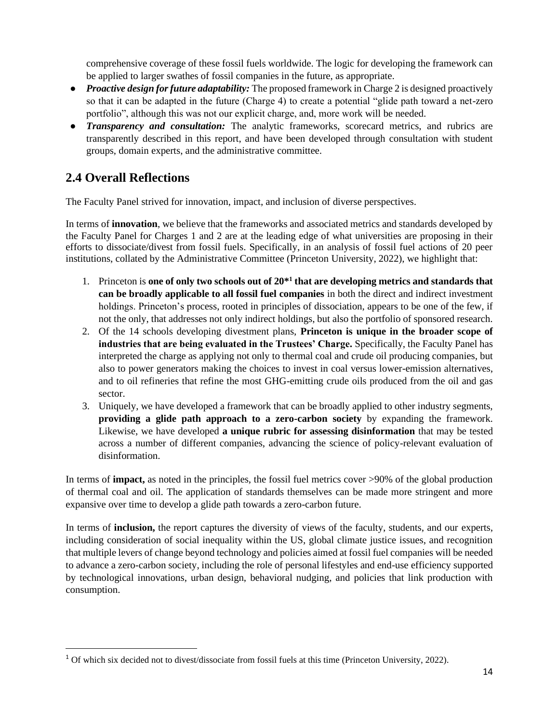comprehensive coverage of these fossil fuels worldwide. The logic for developing the framework can be applied to larger swathes of fossil companies in the future, as appropriate.

- *Proactive design for future adaptability:* The proposed framework in Charge 2 is designed proactively so that it can be adapted in the future (Charge 4) to create a potential "glide path toward a net-zero portfolio", although this was not our explicit charge, and, more work will be needed.
- *Transparency and consultation:* The analytic frameworks, scorecard metrics, and rubrics are transparently described in this report, and have been developed through consultation with student groups, domain experts, and the administrative committee.

# <span id="page-13-0"></span>**2.4 Overall Reflections**

The Faculty Panel strived for innovation, impact, and inclusion of diverse perspectives.

In terms of **innovation**, we believe that the frameworks and associated metrics and standards developed by the Faculty Panel for Charges 1 and 2 are at the leading edge of what universities are proposing in their efforts to dissociate/divest from fossil fuels. Specifically, in an analysis of fossil fuel actions of 20 peer institutions, collated by the Administrative Committee (Princeton University, 2022), we highlight that:

- 1. Princeton is **one of only two schools out of 20\*<sup>1</sup> that are developing metrics and standards that can be broadly applicable to all fossil fuel companies** in both the direct and indirect investment holdings. Princeton's process, rooted in principles of dissociation, appears to be one of the few, if not the only, that addresses not only indirect holdings, but also the portfolio of sponsored research.
- 2. Of the 14 schools developing divestment plans, **Princeton is unique in the broader scope of industries that are being evaluated in the Trustees' Charge.** Specifically, the Faculty Panel has interpreted the charge as applying not only to thermal coal and crude oil producing companies, but also to power generators making the choices to invest in coal versus lower-emission alternatives, and to oil refineries that refine the most GHG-emitting crude oils produced from the oil and gas sector.
- 3. Uniquely, we have developed a framework that can be broadly applied to other industry segments, **providing a glide path approach to a zero-carbon society** by expanding the framework. Likewise, we have developed **a unique rubric for assessing disinformation** that may be tested across a number of different companies, advancing the science of policy-relevant evaluation of disinformation.

In terms of **impact,** as noted in the principles, the fossil fuel metrics cover >90% of the global production of thermal coal and oil. The application of standards themselves can be made more stringent and more expansive over time to develop a glide path towards a zero-carbon future.

In terms of **inclusion,** the report captures the diversity of views of the faculty, students, and our experts, including consideration of social inequality within the US, global climate justice issues, and recognition that multiple levers of change beyond technology and policies aimed at fossil fuel companies will be needed to advance a zero-carbon society, including the role of personal lifestyles and end-use efficiency supported by technological innovations, urban design, behavioral nudging, and policies that link production with consumption.

<sup>&</sup>lt;sup>1</sup> Of which six decided not to divest/dissociate from fossil fuels at this time (Princeton University, 2022).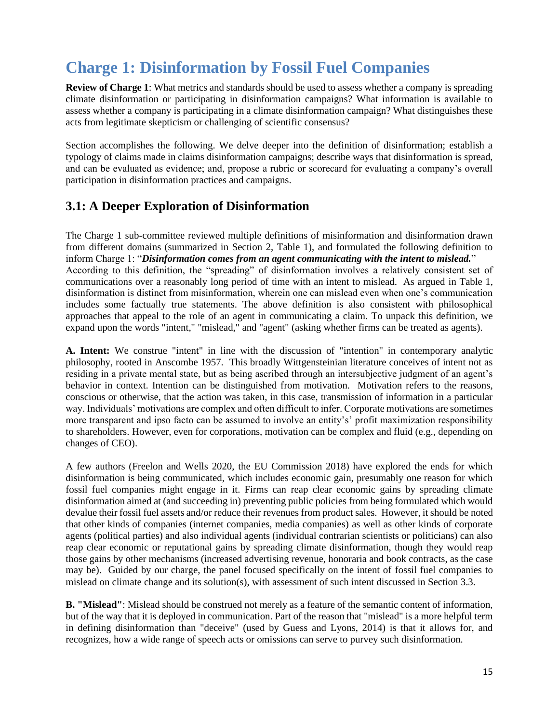# <span id="page-14-0"></span>**Charge 1: Disinformation by Fossil Fuel Companies**

**Review of Charge 1**: What metrics and standards should be used to assess whether a company is spreading climate disinformation or participating in disinformation campaigns? What information is available to assess whether a company is participating in a climate disinformation campaign? What distinguishes these acts from legitimate skepticism or challenging of scientific consensus?

Section accomplishes the following. We delve deeper into the definition of disinformation; establish a typology of claims made in claims disinformation campaigns; describe ways that disinformation is spread, and can be evaluated as evidence; and, propose a rubric or scorecard for evaluating a company's overall participation in disinformation practices and campaigns.

## <span id="page-14-1"></span>**3.1: A Deeper Exploration of Disinformation**

The Charge 1 sub-committee reviewed multiple definitions of misinformation and disinformation drawn from different domains (summarized in Section 2, Table 1), and formulated the following definition to inform Charge 1: "*Disinformation comes from an agent communicating with the intent to mislead.*" According to this definition, the "spreading" of disinformation involves a relatively consistent set of communications over a reasonably long period of time with an intent to mislead. As argued in Table 1, disinformation is distinct from misinformation, wherein one can mislead even when one's communication includes some factually true statements. The above definition is also consistent with philosophical approaches that appeal to the role of an agent in communicating a claim. To unpack this definition, we expand upon the words "intent," "mislead," and "agent" (asking whether firms can be treated as agents).

**A. Intent:** We construe "intent" in line with the discussion of "intention" in contemporary analytic philosophy, rooted in Anscombe 1957. This broadly Wittgensteinian literature conceives of intent not as residing in a private mental state, but as being ascribed through an intersubjective judgment of an agent's behavior in context. Intention can be distinguished from motivation. Motivation refers to the reasons, conscious or otherwise, that the action was taken, in this case, transmission of information in a particular way. Individuals' motivations are complex and often difficult to infer. Corporate motivations are sometimes more transparent and ipso facto can be assumed to involve an entity's' profit maximization responsibility to shareholders. However, even for corporations, motivation can be complex and fluid (e.g., depending on changes of CEO).

A few authors (Freelon and Wells 2020, the EU Commission 2018) have explored the ends for which disinformation is being communicated, which includes economic gain, presumably one reason for which fossil fuel companies might engage in it. Firms can reap clear economic gains by spreading climate disinformation aimed at (and succeeding in) preventing public policies from being formulated which would devalue their fossil fuel assets and/or reduce their revenues from product sales. However, it should be noted that other kinds of companies (internet companies, media companies) as well as other kinds of corporate agents (political parties) and also individual agents (individual contrarian scientists or politicians) can also reap clear economic or reputational gains by spreading climate disinformation, though they would reap those gains by other mechanisms (increased advertising revenue, honoraria and book contracts, as the case may be). Guided by our charge, the panel focused specifically on the intent of fossil fuel companies to mislead on climate change and its solution(s), with assessment of such intent discussed in Section 3.3.

**B. "Mislead"**: Mislead should be construed not merely as a feature of the semantic content of information, but of the way that it is deployed in communication. Part of the reason that "mislead" is a more helpful term in defining disinformation than "deceive" (used by Guess and Lyons, 2014) is that it allows for, and recognizes, how a wide range of speech acts or omissions can serve to purvey such disinformation.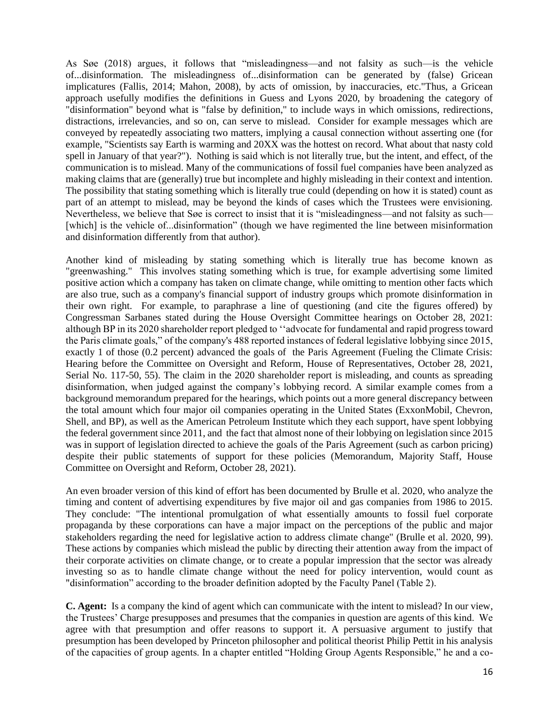As Søe (2018) argues, it follows that "misleadingness—and not falsity as such—is the vehicle of...disinformation. The misleadingness of...disinformation can be generated by (false) Gricean implicatures (Fallis, 2014; Mahon, 2008), by acts of omission, by inaccuracies, etc."Thus, a Gricean approach usefully modifies the definitions in Guess and Lyons 2020, by broadening the category of "disinformation" beyond what is "false by definition," to include ways in which omissions, redirections, distractions, irrelevancies, and so on, can serve to mislead. Consider for example messages which are conveyed by repeatedly associating two matters, implying a causal connection without asserting one (for example, "Scientists say Earth is warming and 20XX was the hottest on record. What about that nasty cold spell in January of that year?"). Nothing is said which is not literally true, but the intent, and effect, of the communication is to mislead. Many of the communications of fossil fuel companies have been analyzed as making claims that are (generally) true but incomplete and highly misleading in their context and intention. The possibility that stating something which is literally true could (depending on how it is stated) count as part of an attempt to mislead, may be beyond the kinds of cases which the Trustees were envisioning. Nevertheless, we believe that Søe is correct to insist that it is "misleadingness—and not falsity as such— [which] is the vehicle of...disinformation" (though we have regimented the line between misinformation and disinformation differently from that author).

Another kind of misleading by stating something which is literally true has become known as "greenwashing." This involves stating something which is true, for example advertising some limited positive action which a company has taken on climate change, while omitting to mention other facts which are also true, such as a company's financial support of industry groups which promote disinformation in their own right. For example, to paraphrase a line of questioning (and cite the figures offered) by Congressman Sarbanes stated during the House Oversight Committee hearings on October 28, 2021: although BP in its 2020 shareholder report pledged to ''advocate for fundamental and rapid progress toward the Paris climate goals," of the company's 488 reported instances of federal legislative lobbying since 2015, exactly 1 of those (0.2 percent) advanced the goals of the Paris Agreement (Fueling the Climate Crisis: Hearing before the Committee on Oversight and Reform, House of Representatives, October 28, 2021, Serial No. 117-50, 55). The claim in the 2020 shareholder report is misleading, and counts as spreading disinformation, when judged against the company's lobbying record. A similar example comes from a background memorandum prepared for the hearings, which points out a more general discrepancy between the total amount which four major oil companies operating in the United States (ExxonMobil, Chevron, Shell, and BP), as well as the American Petroleum Institute which they each support, have spent lobbying the federal government since 2011, and the fact that almost none of their lobbying on legislation since 2015 was in support of legislation directed to achieve the goals of the Paris Agreement (such as carbon pricing) despite their public statements of support for these policies (Memorandum, Majority Staff, House Committee on Oversight and Reform, October 28, 2021).

An even broader version of this kind of effort has been documented by Brulle et al. 2020, who analyze the timing and content of advertising expenditures by five major oil and gas companies from 1986 to 2015. They conclude: "The intentional promulgation of what essentially amounts to fossil fuel corporate propaganda by these corporations can have a major impact on the perceptions of the public and major stakeholders regarding the need for legislative action to address climate change" (Brulle et al. 2020, 99). These actions by companies which mislead the public by directing their attention away from the impact of their corporate activities on climate change, or to create a popular impression that the sector was already investing so as to handle climate change without the need for policy intervention, would count as "disinformation" according to the broader definition adopted by the Faculty Panel (Table 2).

**C. Agent:** Is a company the kind of agent which can communicate with the intent to mislead? In our view, the Trustees' Charge presupposes and presumes that the companies in question are agents of this kind. We agree with that presumption and offer reasons to support it. A persuasive argument to justify that presumption has been developed by Princeton philosopher and political theorist Philip Pettit in his analysis of the capacities of group agents. In a chapter entitled "Holding Group Agents Responsible," he and a co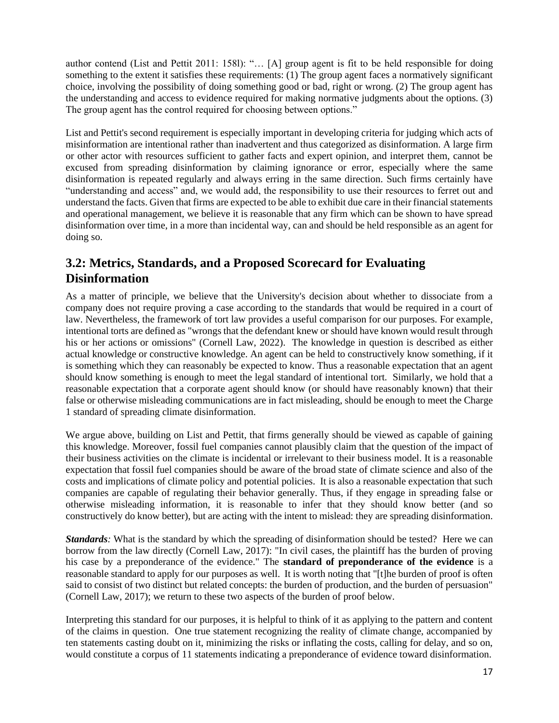author contend (List and Pettit 2011: 158l): "… [A] group agent is fit to be held responsible for doing something to the extent it satisfies these requirements: (1) The group agent faces a normatively significant choice, involving the possibility of doing something good or bad, right or wrong. (2) The group agent has the understanding and access to evidence required for making normative judgments about the options. (3) The group agent has the control required for choosing between options."

List and Pettit's second requirement is especially important in developing criteria for judging which acts of misinformation are intentional rather than inadvertent and thus categorized as disinformation. A large firm or other actor with resources sufficient to gather facts and expert opinion, and interpret them, cannot be excused from spreading disinformation by claiming ignorance or error, especially where the same disinformation is repeated regularly and always erring in the same direction. Such firms certainly have "understanding and access" and, we would add, the responsibility to use their resources to ferret out and understand the facts. Given that firms are expected to be able to exhibit due care in their financial statements and operational management, we believe it is reasonable that any firm which can be shown to have spread disinformation over time, in a more than incidental way, can and should be held responsible as an agent for doing so.

# <span id="page-16-0"></span>**3.2: Metrics, Standards, and a Proposed Scorecard for Evaluating Disinformation**

As a matter of principle, we believe that the University's decision about whether to dissociate from a company does not require proving a case according to the standards that would be required in a court of law. Nevertheless, the framework of tort law provides a useful comparison for our purposes. For example, intentional torts are defined as "wrongs that the defendant knew or should have known would result through his or her actions or omissions" (Cornell Law, 2022). The knowledge in question is described as either actual knowledge or constructive knowledge. An agent can be held to constructively know something, if it is something which they can reasonably be expected to know. Thus a reasonable expectation that an agent should know something is enough to meet the legal standard of intentional tort. Similarly, we hold that a reasonable expectation that a corporate agent should know (or should have reasonably known) that their false or otherwise misleading communications are in fact misleading, should be enough to meet the Charge 1 standard of spreading climate disinformation.

We argue above, building on List and Pettit, that firms generally should be viewed as capable of gaining this knowledge. Moreover, fossil fuel companies cannot plausibly claim that the question of the impact of their business activities on the climate is incidental or irrelevant to their business model. It is a reasonable expectation that fossil fuel companies should be aware of the broad state of climate science and also of the costs and implications of climate policy and potential policies. It is also a reasonable expectation that such companies are capable of regulating their behavior generally. Thus, if they engage in spreading false or otherwise misleading information, it is reasonable to infer that they should know better (and so constructively do know better), but are acting with the intent to mislead: they are spreading disinformation.

*Standards*: What is the standard by which the spreading of disinformation should be tested? Here we can borrow from the law directly (Cornell Law, 2017): "In civil cases, the plaintiff has the burden of proving his case by a preponderance of the evidence." The **standard of preponderance of the evidence** is a reasonable standard to apply for our purposes as well. It is worth noting that "[t]he burden of proof is often said to consist of two distinct but related concepts: the burden of production, and the burden of persuasion" (Cornell Law, 2017); we return to these two aspects of the burden of proof below.

Interpreting this standard for our purposes, it is helpful to think of it as applying to the pattern and content of the claims in question. One true statement recognizing the reality of climate change, accompanied by ten statements casting doubt on it, minimizing the risks or inflating the costs, calling for delay, and so on, would constitute a corpus of 11 statements indicating a preponderance of evidence toward disinformation.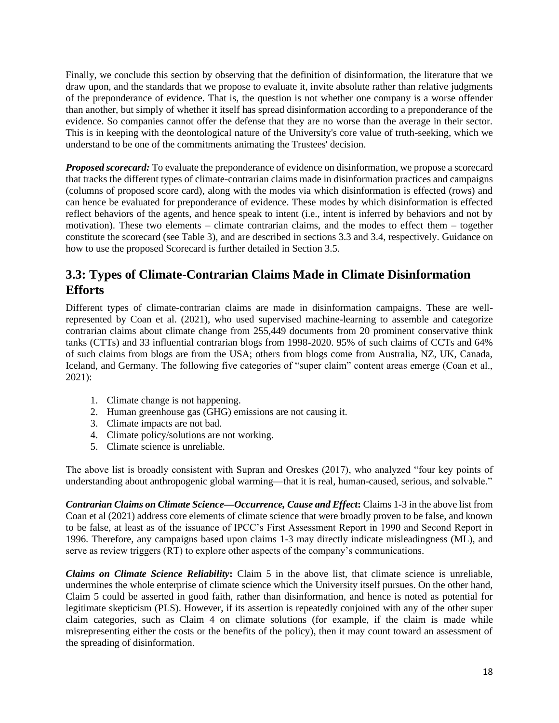Finally, we conclude this section by observing that the definition of disinformation, the literature that we draw upon, and the standards that we propose to evaluate it, invite absolute rather than relative judgments of the preponderance of evidence. That is, the question is not whether one company is a worse offender than another, but simply of whether it itself has spread disinformation according to a preponderance of the evidence. So companies cannot offer the defense that they are no worse than the average in their sector. This is in keeping with the deontological nature of the University's core value of truth-seeking, which we understand to be one of the commitments animating the Trustees' decision.

*Proposed scorecard:* To evaluate the preponderance of evidence on disinformation, we propose a scorecard that tracks the different types of climate-contrarian claims made in disinformation practices and campaigns (columns of proposed score card), along with the modes via which disinformation is effected (rows) and can hence be evaluated for preponderance of evidence. These modes by which disinformation is effected reflect behaviors of the agents, and hence speak to intent (i.e., intent is inferred by behaviors and not by motivation). These two elements – climate contrarian claims, and the modes to effect them – together constitute the scorecard (see Table 3), and are described in sections 3.3 and 3.4, respectively. Guidance on how to use the proposed Scorecard is further detailed in Section 3.5.

# <span id="page-17-0"></span>**3.3: Types of Climate-Contrarian Claims Made in Climate Disinformation Efforts**

Different types of climate-contrarian claims are made in disinformation campaigns. These are wellrepresented by Coan et al. (2021), who used supervised machine-learning to assemble and categorize contrarian claims about climate change from 255,449 documents from 20 prominent conservative think tanks (CTTs) and 33 influential contrarian blogs from 1998-2020. 95% of such claims of CCTs and 64% of such claims from blogs are from the USA; others from blogs come from Australia, NZ, UK, Canada, Iceland, and Germany. The following five categories of "super claim" content areas emerge (Coan et al., 2021):

- 1. Climate change is not happening.
- 2. Human greenhouse gas (GHG) emissions are not causing it.
- 3. Climate impacts are not bad.
- 4. Climate policy/solutions are not working.
- 5. Climate science is unreliable.

The above list is broadly consistent with Supran and Oreskes (2017), who analyzed "four key points of understanding about anthropogenic global warming—that it is real, human-caused, serious, and solvable."

*Contrarian Claims on Climate Science—Occurrence, Cause and Effect***:** Claims 1-3 in the above list from Coan et al (2021) address core elements of climate science that were broadly proven to be false, and known to be false, at least as of the issuance of IPCC's First Assessment Report in 1990 and Second Report in 1996. Therefore, any campaigns based upon claims 1-3 may directly indicate misleadingness (ML), and serve as review triggers (RT) to explore other aspects of the company's communications.

*Claims on Climate Science Reliability***:** Claim 5 in the above list, that climate science is unreliable, undermines the whole enterprise of climate science which the University itself pursues. On the other hand, Claim 5 could be asserted in good faith, rather than disinformation, and hence is noted as potential for legitimate skepticism (PLS). However, if its assertion is repeatedly conjoined with any of the other super claim categories, such as Claim 4 on climate solutions (for example, if the claim is made while misrepresenting either the costs or the benefits of the policy), then it may count toward an assessment of the spreading of disinformation.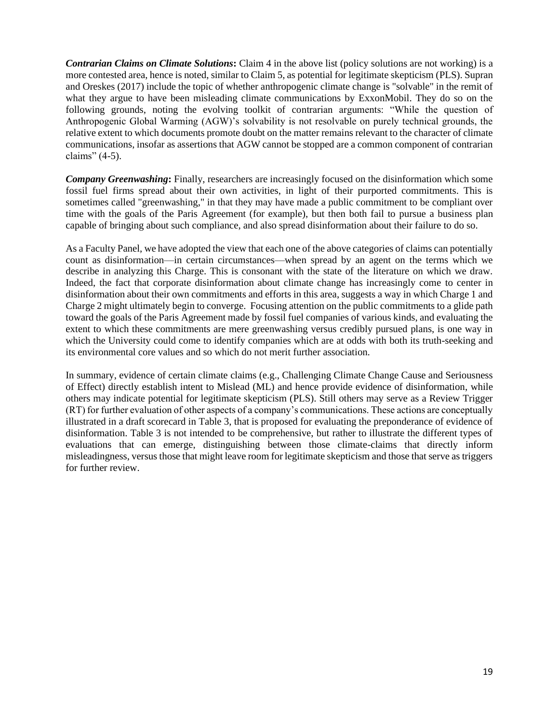*Contrarian Claims on Climate Solutions***:** Claim 4 in the above list (policy solutions are not working) is a more contested area, hence is noted, similar to Claim 5, as potential for legitimate skepticism (PLS). Supran and Oreskes (2017) include the topic of whether anthropogenic climate change is "solvable" in the remit of what they argue to have been misleading climate communications by ExxonMobil. They do so on the following grounds, noting the evolving toolkit of contrarian arguments: "While the question of Anthropogenic Global Warming (AGW)'s solvability is not resolvable on purely technical grounds, the relative extent to which documents promote doubt on the matter remains relevant to the character of climate communications, insofar as assertions that AGW cannot be stopped are a common component of contrarian claims" (4-5).

*Company Greenwashing***:** Finally, researchers are increasingly focused on the disinformation which some fossil fuel firms spread about their own activities, in light of their purported commitments. This is sometimes called "greenwashing," in that they may have made a public commitment to be compliant over time with the goals of the Paris Agreement (for example), but then both fail to pursue a business plan capable of bringing about such compliance, and also spread disinformation about their failure to do so.

As a Faculty Panel, we have adopted the view that each one of the above categories of claims can potentially count as disinformation—in certain circumstances—when spread by an agent on the terms which we describe in analyzing this Charge. This is consonant with the state of the literature on which we draw. Indeed, the fact that corporate disinformation about climate change has increasingly come to center in disinformation about their own commitments and efforts in this area, suggests a way in which Charge 1 and Charge 2 might ultimately begin to converge. Focusing attention on the public commitments to a glide path toward the goals of the Paris Agreement made by fossil fuel companies of various kinds, and evaluating the extent to which these commitments are mere greenwashing versus credibly pursued plans, is one way in which the University could come to identify companies which are at odds with both its truth-seeking and its environmental core values and so which do not merit further association.

In summary, evidence of certain climate claims (e.g., Challenging Climate Change Cause and Seriousness of Effect) directly establish intent to Mislead (ML) and hence provide evidence of disinformation, while others may indicate potential for legitimate skepticism (PLS). Still others may serve as a Review Trigger (RT) for further evaluation of other aspects of a company's communications. These actions are conceptually illustrated in a draft scorecard in Table 3, that is proposed for evaluating the preponderance of evidence of disinformation. Table 3 is not intended to be comprehensive, but rather to illustrate the different types of evaluations that can emerge, distinguishing between those climate-claims that directly inform misleadingness, versus those that might leave room for legitimate skepticism and those that serve as triggers for further review.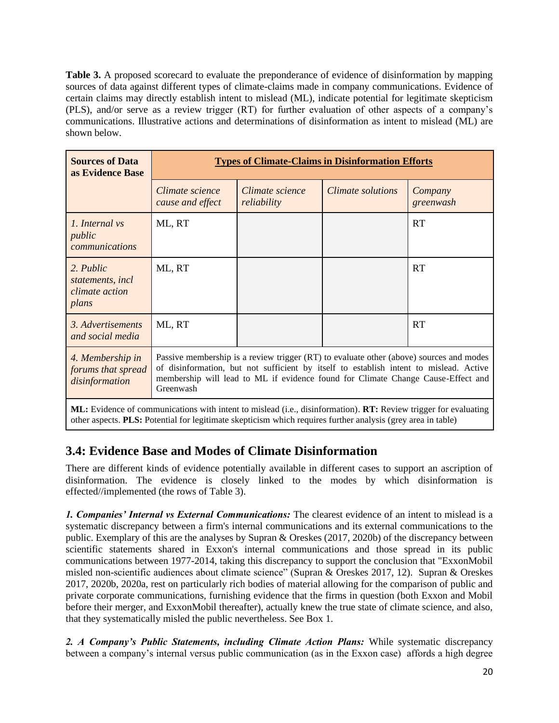**Table 3.** A proposed scorecard to evaluate the preponderance of evidence of disinformation by mapping sources of data against different types of climate-claims made in company communications. Evidence of certain claims may directly establish intent to mislead (ML), indicate potential for legitimate skepticism (PLS), and/or serve as a review trigger (RT) for further evaluation of other aspects of a company's communications. Illustrative actions and determinations of disinformation as intent to mislead (ML) are shown below.

| <b>Sources of Data</b><br>as Evidence Base                      | <b>Types of Climate-Claims in Disinformation Efforts</b>                                                                                                                                                                                                                           |                                |                   |                      |  |  |  |  |
|-----------------------------------------------------------------|------------------------------------------------------------------------------------------------------------------------------------------------------------------------------------------------------------------------------------------------------------------------------------|--------------------------------|-------------------|----------------------|--|--|--|--|
|                                                                 | Climate science<br>cause and effect                                                                                                                                                                                                                                                | Climate science<br>reliability | Climate solutions | Company<br>greenwash |  |  |  |  |
| 1. Internal vs<br>public<br>communications                      | ML, RT                                                                                                                                                                                                                                                                             |                                |                   | <b>RT</b>            |  |  |  |  |
| 2. Public<br>statements, incl<br><i>climate action</i><br>plans | ML, RT                                                                                                                                                                                                                                                                             |                                |                   | <b>RT</b>            |  |  |  |  |
| 3. Advertisements<br>and social media                           | ML, RT                                                                                                                                                                                                                                                                             |                                |                   | <b>RT</b>            |  |  |  |  |
| 4. Membership in<br>forums that spread<br>disinformation        | Passive membership is a review trigger (RT) to evaluate other (above) sources and modes<br>of disinformation, but not sufficient by itself to establish intent to mislead. Active<br>membership will lead to ML if evidence found for Climate Change Cause-Effect and<br>Greenwash |                                |                   |                      |  |  |  |  |

**ML:** Evidence of communications with intent to mislead (i.e., disinformation). **RT:** Review trigger for evaluating other aspects. **PLS:** Potential for legitimate skepticism which requires further analysis (grey area in table)

## <span id="page-19-0"></span>**3.4: Evidence Base and Modes of Climate Disinformation**

There are different kinds of evidence potentially available in different cases to support an ascription of disinformation. The evidence is closely linked to the modes by which disinformation is effected//implemented (the rows of Table 3).

*1. Companies' Internal vs External Communications:* The clearest evidence of an intent to mislead is a systematic discrepancy between a firm's internal communications and its external communications to the public. Exemplary of this are the analyses by Supran & Oreskes (2017, 2020b) of the discrepancy between scientific statements shared in Exxon's internal communications and those spread in its public communications between 1977-2014, taking this discrepancy to support the conclusion that "ExxonMobil misled non-scientific audiences about climate science" (Supran & Oreskes 2017, 12). Supran & Oreskes 2017, 2020b, 2020a, rest on particularly rich bodies of material allowing for the comparison of public and private corporate communications, furnishing evidence that the firms in question (both Exxon and Mobil before their merger, and ExxonMobil thereafter), actually knew the true state of climate science, and also, that they systematically misled the public nevertheless. See Box 1.

*2. A Company's Public Statements, including Climate Action Plans:* While systematic discrepancy between a company's internal versus public communication (as in the Exxon case) affords a high degree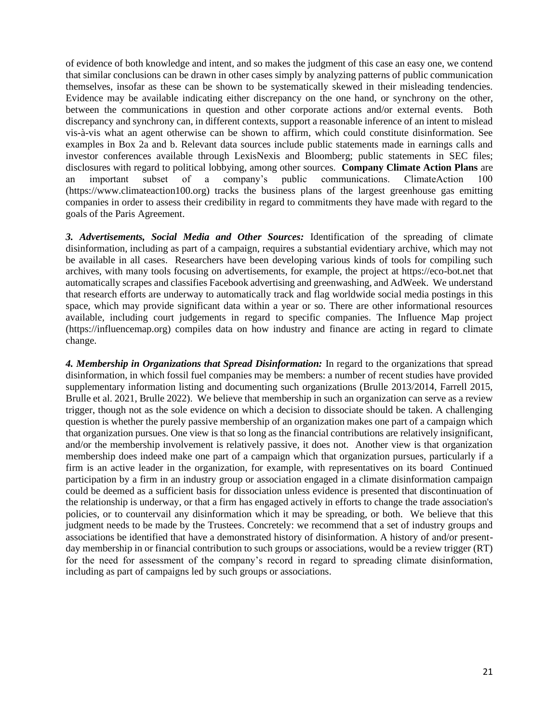of evidence of both knowledge and intent, and so makes the judgment of this case an easy one, we contend that similar conclusions can be drawn in other cases simply by analyzing patterns of public communication themselves, insofar as these can be shown to be systematically skewed in their misleading tendencies. Evidence may be available indicating either discrepancy on the one hand, or synchrony on the other, between the communications in question and other corporate actions and/or external events. Both discrepancy and synchrony can, in different contexts, support a reasonable inference of an intent to mislead vis-à-vis what an agent otherwise can be shown to affirm, which could constitute disinformation. See examples in Box 2a and b. Relevant data sources include public statements made in earnings calls and investor conferences available through LexisNexis and Bloomberg; public statements in SEC files; disclosures with regard to political lobbying, among other sources. **Company Climate Action Plans** are an important subset of a company's public communications. ClimateAction 100 (https://www.climateaction100.org) tracks the business plans of the largest greenhouse gas emitting companies in order to assess their credibility in regard to commitments they have made with regard to the goals of the Paris Agreement.

*3. Advertisements, Social Media and Other Sources:* Identification of the spreading of climate disinformation, including as part of a campaign, requires a substantial evidentiary archive, which may not be available in all cases. Researchers have been developing various kinds of tools for compiling such archives, with many tools focusing on advertisements, for example, the project at https://eco-bot.net that automatically scrapes and classifies Facebook advertising and greenwashing, and AdWeek. We understand that research efforts are underway to automatically track and flag worldwide social media postings in this space, which may provide significant data within a year or so. There are other informational resources available, including court judgements in regard to specific companies. The Influence Map project (https://influencemap.org) compiles data on how industry and finance are acting in regard to climate change.

*4. Membership in Organizations that Spread Disinformation:* In regard to the organizations that spread disinformation, in which fossil fuel companies may be members: a number of recent studies have provided supplementary information listing and documenting such organizations (Brulle 2013/2014, Farrell 2015, Brulle et al. 2021, Brulle 2022). We believe that membership in such an organization can serve as a review trigger, though not as the sole evidence on which a decision to dissociate should be taken. A challenging question is whether the purely passive membership of an organization makes one part of a campaign which that organization pursues. One view is that so long as the financial contributions are relatively insignificant, and/or the membership involvement is relatively passive, it does not. Another view is that organization membership does indeed make one part of a campaign which that organization pursues, particularly if a firm is an active leader in the organization, for example, with representatives on its board Continued participation by a firm in an industry group or association engaged in a climate disinformation campaign could be deemed as a sufficient basis for dissociation unless evidence is presented that discontinuation of the relationship is underway, or that a firm has engaged actively in efforts to change the trade association's policies, or to countervail any disinformation which it may be spreading, or both. We believe that this judgment needs to be made by the Trustees. Concretely: we recommend that a set of industry groups and associations be identified that have a demonstrated history of disinformation. A history of and/or presentday membership in or financial contribution to such groups or associations, would be a review trigger (RT) for the need for assessment of the company's record in regard to spreading climate disinformation, including as part of campaigns led by such groups or associations.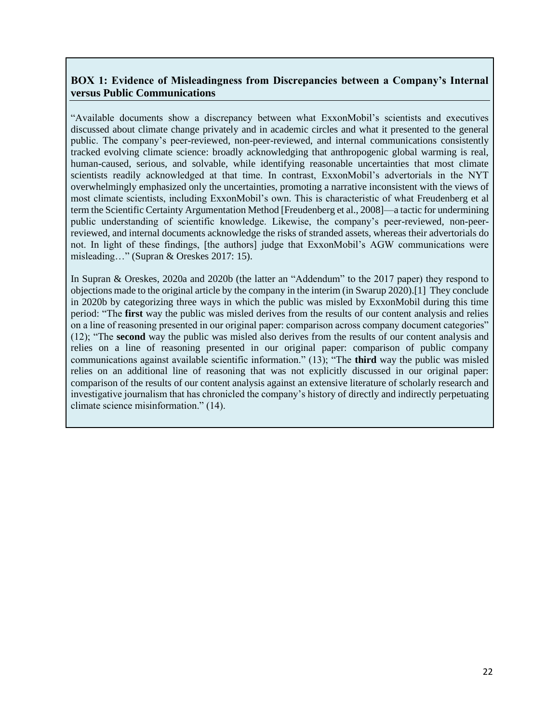### **BOX 1: Evidence of Misleadingness from Discrepancies between a Company's Internal versus Public Communications**

"Available documents show a discrepancy between what ExxonMobil's scientists and executives discussed about climate change privately and in academic circles and what it presented to the general public. The company's peer-reviewed, non-peer-reviewed, and internal communications consistently tracked evolving climate science: broadly acknowledging that anthropogenic global warming is real, human-caused, serious, and solvable, while identifying reasonable uncertainties that most climate scientists readily acknowledged at that time. In contrast, ExxonMobil's advertorials in the NYT overwhelmingly emphasized only the uncertainties, promoting a narrative inconsistent with the views of most climate scientists, including ExxonMobil's own. This is characteristic of what Freudenberg et al term the Scientific Certainty Argumentation Method [Freudenberg et al., 2008]—a tactic for undermining public understanding of scientific knowledge. Likewise, the company's peer-reviewed, non-peerreviewed, and internal documents acknowledge the risks of stranded assets, whereas their advertorials do not. In light of these findings, [the authors] judge that ExxonMobil's AGW communications were misleading…" (Supran & Oreskes 2017: 15).

In Supran & Oreskes, 2020a and 2020b (the latter an "Addendum" to the 2017 paper) they respond to objections made to the original article by the company in the interim (in Swarup 2020).[1] They conclude in 2020b by categorizing three ways in which the public was misled by ExxonMobil during this time period: "The **first** way the public was misled derives from the results of our content analysis and relies on a line of reasoning presented in our original paper: comparison across company document categories" (12); "The **second** way the public was misled also derives from the results of our content analysis and relies on a line of reasoning presented in our original paper: comparison of public company communications against available scientific information." (13); "The **third** way the public was misled relies on an additional line of reasoning that was not explicitly discussed in our original paper: comparison of the results of our content analysis against an extensive literature of scholarly research and investigative journalism that has chronicled the company's history of directly and indirectly perpetuating climate science misinformation." (14).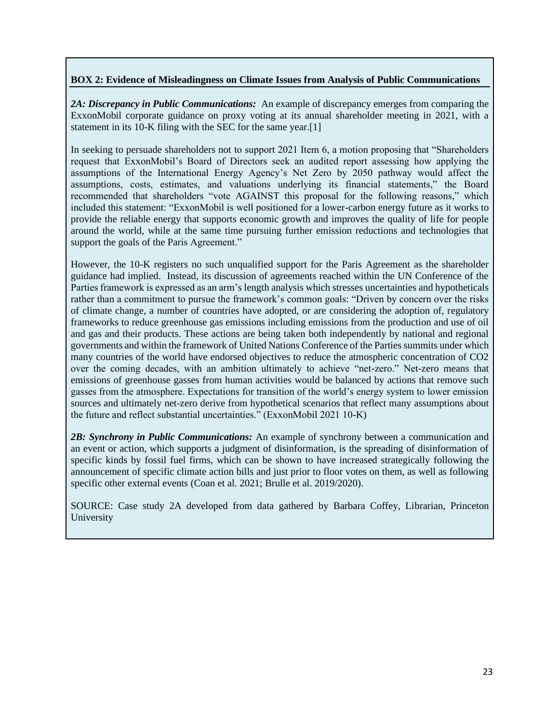### **BOX 2: Evidence of Misleadingness on Climate Issues from Analysis of Public Communications**

*2A: Discrepancy in Public Communications:* An example of discrepancy emerges from comparing the ExxonMobil corporate guidance on proxy voting at its annual shareholder meeting in 2021, with a statement in its 10-K filing with the SEC for the same year.[1]

In seeking to persuade shareholders not to support 2021 Item 6, a motion proposing that "Shareholders request that ExxonMobil's Board of Directors seek an audited report assessing how applying the assumptions of the International Energy Agency's Net Zero by 2050 pathway would affect the assumptions, costs, estimates, and valuations underlying its financial statements," the Board recommended that shareholders "vote AGAINST this proposal for the following reasons," which included this statement: "ExxonMobil is well positioned for a lower-carbon energy future as it works to provide the reliable energy that supports economic growth and improves the quality of life for people around the world, while at the same time pursuing further emission reductions and technologies that support the goals of the Paris Agreement."

However, the 10-K registers no such unqualified support for the Paris Agreement as the shareholder guidance had implied. Instead, its discussion of agreements reached within the UN Conference of the Parties framework is expressed as an arm's length analysis which stresses uncertainties and hypotheticals rather than a commitment to pursue the framework's common goals: "Driven by concern over the risks of climate change, a number of countries have adopted, or are considering the adoption of, regulatory frameworks to reduce greenhouse gas emissions including emissions from the production and use of oil and gas and their products. These actions are being taken both independently by national and regional governments and within the framework of United Nations Conference of the Parties summits under which many countries of the world have endorsed objectives to reduce the atmospheric concentration of CO2 over the coming decades, with an ambition ultimately to achieve "net-zero." Net-zero means that emissions of greenhouse gasses from human activities would be balanced by actions that remove such gasses from the atmosphere. Expectations for transition of the world's energy system to lower emission sources and ultimately net-zero derive from hypothetical scenarios that reflect many assumptions about the future and reflect substantial uncertainties." (ExxonMobil 2021 10-K)

*2B: Synchrony in Public Communications:* An example of synchrony between a communication and an event or action, which supports a judgment of disinformation, is the spreading of disinformation of specific kinds by fossil fuel firms, which can be shown to have increased strategically following the announcement of specific climate action bills and just prior to floor votes on them, as well as following specific other external events (Coan et al. 2021; Brulle et al. 2019/2020).

SOURCE: Case study 2A developed from data gathered by Barbara Coffey, Librarian, Princeton University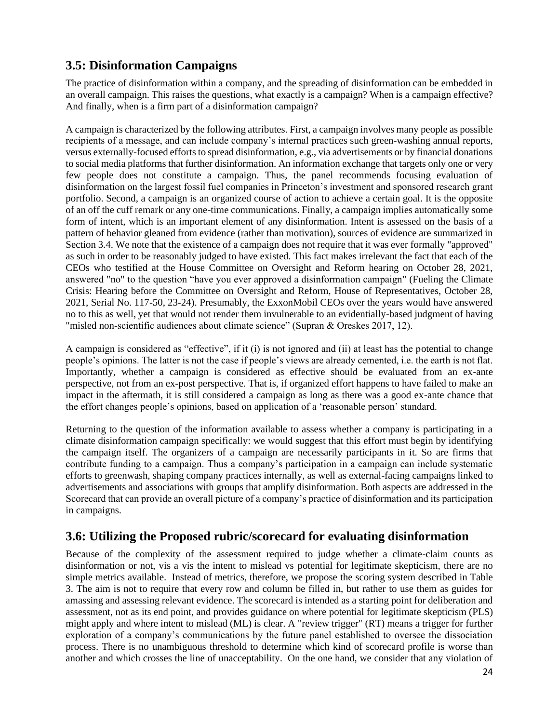# <span id="page-23-0"></span>**3.5: Disinformation Campaigns**

The practice of disinformation within a company, and the spreading of disinformation can be embedded in an overall campaign. This raises the questions, what exactly is a campaign? When is a campaign effective? And finally, when is a firm part of a disinformation campaign?

A campaign is characterized by the following attributes. First, a campaign involves many people as possible recipients of a message, and can include company's internal practices such green-washing annual reports, versus externally-focused efforts to spread disinformation, e.g., via advertisements or by financial donations to social media platforms that further disinformation. An information exchange that targets only one or very few people does not constitute a campaign. Thus, the panel recommends focusing evaluation of disinformation on the largest fossil fuel companies in Princeton's investment and sponsored research grant portfolio. Second, a campaign is an organized course of action to achieve a certain goal. It is the opposite of an off the cuff remark or any one-time communications. Finally, a campaign implies automatically some form of intent, which is an important element of any disinformation. Intent is assessed on the basis of a pattern of behavior gleaned from evidence (rather than motivation), sources of evidence are summarized in Section 3.4. We note that the existence of a campaign does not require that it was ever formally "approved" as such in order to be reasonably judged to have existed. This fact makes irrelevant the fact that each of the CEOs who testified at the House Committee on Oversight and Reform hearing on October 28, 2021, answered "no" to the question "have you ever approved a disinformation campaign" (Fueling the Climate Crisis: Hearing before the Committee on Oversight and Reform, House of Representatives, October 28, 2021, Serial No. 117-50, 23-24). Presumably, the ExxonMobil CEOs over the years would have answered no to this as well, yet that would not render them invulnerable to an evidentially-based judgment of having "misled non-scientific audiences about climate science" (Supran & Oreskes 2017, 12).

A campaign is considered as "effective", if it (i) is not ignored and (ii) at least has the potential to change people's opinions. The latter is not the case if people's views are already cemented, i.e. the earth is not flat. Importantly, whether a campaign is considered as effective should be evaluated from an ex-ante perspective, not from an ex-post perspective. That is, if organized effort happens to have failed to make an impact in the aftermath, it is still considered a campaign as long as there was a good ex-ante chance that the effort changes people's opinions, based on application of a 'reasonable person' standard.

Returning to the question of the information available to assess whether a company is participating in a climate disinformation campaign specifically: we would suggest that this effort must begin by identifying the campaign itself. The organizers of a campaign are necessarily participants in it. So are firms that contribute funding to a campaign. Thus a company's participation in a campaign can include systematic efforts to greenwash, shaping company practices internally, as well as external-facing campaigns linked to advertisements and associations with groups that amplify disinformation. Both aspects are addressed in the Scorecard that can provide an overall picture of a company's practice of disinformation and its participation in campaigns.

# <span id="page-23-1"></span>**3.6: Utilizing the Proposed rubric/scorecard for evaluating disinformation**

Because of the complexity of the assessment required to judge whether a climate-claim counts as disinformation or not, vis a vis the intent to mislead vs potential for legitimate skepticism, there are no simple metrics available. Instead of metrics, therefore, we propose the scoring system described in Table 3. The aim is not to require that every row and column be filled in, but rather to use them as guides for amassing and assessing relevant evidence. The scorecard is intended as a starting point for deliberation and assessment, not as its end point, and provides guidance on where potential for legitimate skepticism (PLS) might apply and where intent to mislead (ML) is clear. A "review trigger" (RT) means a trigger for further exploration of a company's communications by the future panel established to oversee the dissociation process. There is no unambiguous threshold to determine which kind of scorecard profile is worse than another and which crosses the line of unacceptability. On the one hand, we consider that any violation of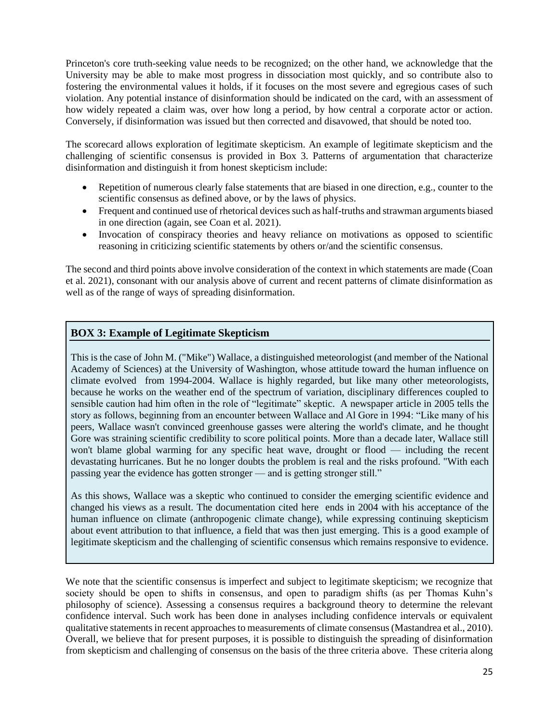Princeton's core truth-seeking value needs to be recognized; on the other hand, we acknowledge that the University may be able to make most progress in dissociation most quickly, and so contribute also to fostering the environmental values it holds, if it focuses on the most severe and egregious cases of such violation. Any potential instance of disinformation should be indicated on the card, with an assessment of how widely repeated a claim was, over how long a period, by how central a corporate actor or action. Conversely, if disinformation was issued but then corrected and disavowed, that should be noted too.

The scorecard allows exploration of legitimate skepticism. An example of legitimate skepticism and the challenging of scientific consensus is provided in Box 3. Patterns of argumentation that characterize disinformation and distinguish it from honest skepticism include:

- Repetition of numerous clearly false statements that are biased in one direction, e.g., counter to the scientific consensus as defined above, or by the laws of physics.
- Frequent and continued use of rhetorical devices such as half-truths and strawman arguments biased in one direction (again, see Coan et al. 2021).
- Invocation of conspiracy theories and heavy reliance on motivations as opposed to scientific reasoning in criticizing scientific statements by others or/and the scientific consensus.

The second and third points above involve consideration of the context in which statements are made (Coan et al. 2021), consonant with our analysis above of current and recent patterns of climate disinformation as well as of the range of ways of spreading disinformation.

### **BOX 3: Example of Legitimate Skepticism**

This is the case of John M. ("Mike") Wallace, a distinguished meteorologist (and member of the National Academy of Sciences) at the University of Washington, whose attitude toward the human influence on climate evolved from 1994-2004. Wallace is highly regarded, but like many other meteorologists, because he works on the weather end of the spectrum of variation, disciplinary differences coupled to sensible caution had him often in the role of "legitimate" skeptic. A newspaper article in 2005 tells the story as follows, beginning from an encounter between Wallace and Al Gore in 1994: "Like many of his peers, Wallace wasn't convinced greenhouse gasses were altering the world's climate, and he thought Gore was straining scientific credibility to score political points. More than a decade later, Wallace still won't blame global warming for any specific heat wave, drought or flood — including the recent devastating hurricanes. But he no longer doubts the problem is real and the risks profound. "With each passing year the evidence has gotten stronger — and is getting stronger still."

As this shows, Wallace was a skeptic who continued to consider the emerging scientific evidence and changed his views as a result. The documentation cited here ends in 2004 with his acceptance of the human influence on climate (anthropogenic climate change), while expressing continuing skepticism about event attribution to that influence, a field that was then just emerging. This is a good example of legitimate skepticism and the challenging of scientific consensus which remains responsive to evidence.

We note that the scientific consensus is imperfect and subject to legitimate skepticism; we recognize that society should be open to shifts in consensus, and open to paradigm shifts (as per Thomas Kuhn's philosophy of science). Assessing a consensus requires a background theory to determine the relevant confidence interval. Such work has been done in analyses including confidence intervals or equivalent qualitative statements in recent approaches to measurements of climate consensus (Mastandrea et al., 2010). Overall, we believe that for present purposes, it is possible to distinguish the spreading of disinformation from skepticism and challenging of consensus on the basis of the three criteria above. These criteria along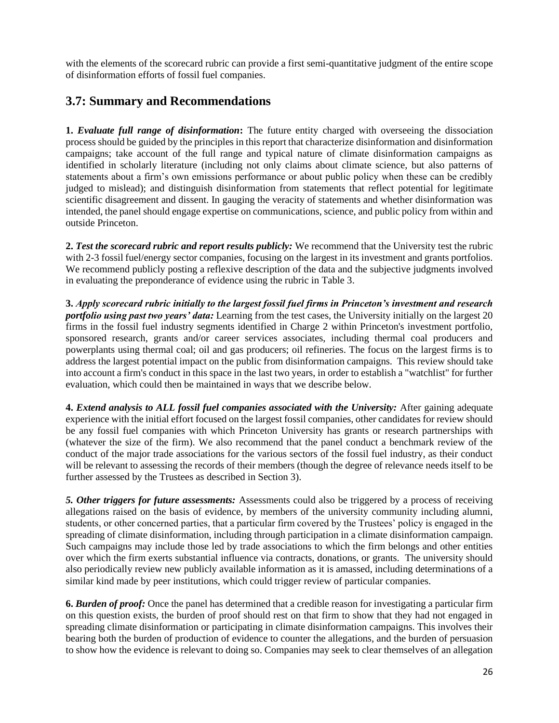with the elements of the scorecard rubric can provide a first semi-quantitative judgment of the entire scope of disinformation efforts of fossil fuel companies.

### <span id="page-25-0"></span>**3.7: Summary and Recommendations**

**1.** *Evaluate full range of disinformation***:** The future entity charged with overseeing the dissociation process should be guided by the principles in this report that characterize disinformation and disinformation campaigns; take account of the full range and typical nature of climate disinformation campaigns as identified in scholarly literature (including not only claims about climate science, but also patterns of statements about a firm's own emissions performance or about public policy when these can be credibly judged to mislead); and distinguish disinformation from statements that reflect potential for legitimate scientific disagreement and dissent. In gauging the veracity of statements and whether disinformation was intended, the panel should engage expertise on communications, science, and public policy from within and outside Princeton.

**2.** *Test the scorecard rubric and report results publicly:* We recommend that the University test the rubric with 2-3 fossil fuel/energy sector companies, focusing on the largest in its investment and grants portfolios. We recommend publicly posting a reflexive description of the data and the subjective judgments involved in evaluating the preponderance of evidence using the rubric in Table 3.

**3.** *Apply scorecard rubric initially to the largest fossil fuel firms in Princeton's investment and research portfolio using past two years' data:* Learning from the test cases, the University initially on the largest 20 firms in the fossil fuel industry segments identified in Charge 2 within Princeton's investment portfolio, sponsored research, grants and/or career services associates, including thermal coal producers and powerplants using thermal coal; oil and gas producers; oil refineries. The focus on the largest firms is to address the largest potential impact on the public from disinformation campaigns. This review should take into account a firm's conduct in this space in the last two years, in order to establish a "watchlist" for further evaluation, which could then be maintained in ways that we describe below.

**4.** *Extend analysis to ALL fossil fuel companies associated with the University:* After gaining adequate experience with the initial effort focused on the largest fossil companies, other candidates for review should be any fossil fuel companies with which Princeton University has grants or research partnerships with (whatever the size of the firm). We also recommend that the panel conduct a benchmark review of the conduct of the major trade associations for the various sectors of the fossil fuel industry, as their conduct will be relevant to assessing the records of their members (though the degree of relevance needs itself to be further assessed by the Trustees as described in Section 3).

*5. Other triggers for future assessments:* Assessments could also be triggered by a process of receiving allegations raised on the basis of evidence, by members of the university community including alumni, students, or other concerned parties, that a particular firm covered by the Trustees' policy is engaged in the spreading of climate disinformation, including through participation in a climate disinformation campaign. Such campaigns may include those led by trade associations to which the firm belongs and other entities over which the firm exerts substantial influence via contracts, donations, or grants. The university should also periodically review new publicly available information as it is amassed, including determinations of a similar kind made by peer institutions, which could trigger review of particular companies.

**6.** *Burden of proof:* Once the panel has determined that a credible reason for investigating a particular firm on this question exists, the burden of proof should rest on that firm to show that they had not engaged in spreading climate disinformation or participating in climate disinformation campaigns. This involves their bearing both the burden of production of evidence to counter the allegations, and the burden of persuasion to show how the evidence is relevant to doing so. Companies may seek to clear themselves of an allegation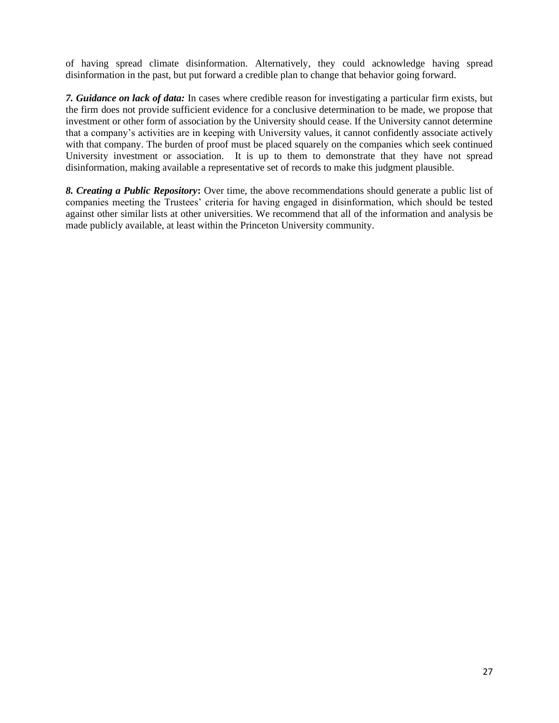of having spread climate disinformation. Alternatively, they could acknowledge having spread disinformation in the past, but put forward a credible plan to change that behavior going forward.

*7. Guidance on lack of data:* In cases where credible reason for investigating a particular firm exists, but the firm does not provide sufficient evidence for a conclusive determination to be made, we propose that investment or other form of association by the University should cease. If the University cannot determine that a company's activities are in keeping with University values, it cannot confidently associate actively with that company. The burden of proof must be placed squarely on the companies which seek continued University investment or association. It is up to them to demonstrate that they have not spread disinformation, making available a representative set of records to make this judgment plausible.

*8. Creating a Public Repository***:** Over time, the above recommendations should generate a public list of companies meeting the Trustees' criteria for having engaged in disinformation, which should be tested against other similar lists at other universities. We recommend that all of the information and analysis be made publicly available, at least within the Princeton University community.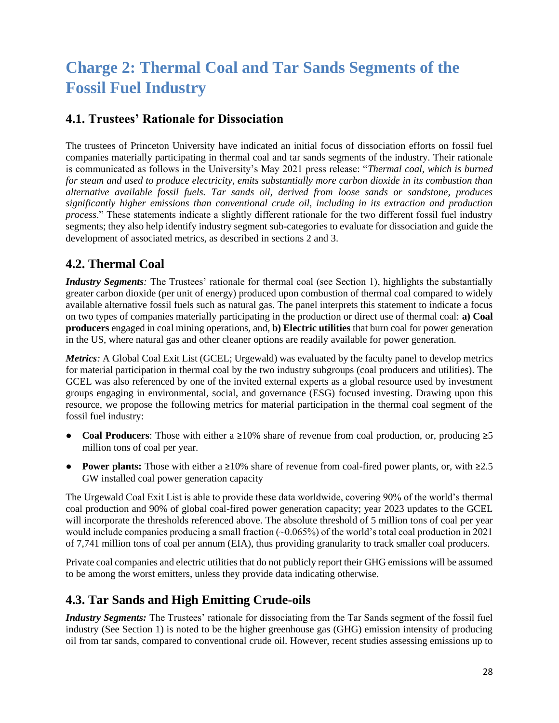# <span id="page-27-0"></span>**Charge 2: Thermal Coal and Tar Sands Segments of the Fossil Fuel Industry**

## <span id="page-27-1"></span>**4.1. Trustees' Rationale for Dissociation**

The trustees of Princeton University have indicated an initial focus of dissociation efforts on fossil fuel companies materially participating in thermal coal and tar sands segments of the industry. Their rationale is communicated as follows in the University's May 2021 press release: "*Thermal coal, which is burned for steam and used to produce electricity, emits substantially more carbon dioxide in its combustion than alternative available fossil fuels. Tar sands oil, derived from loose sands or sandstone, produces significantly higher emissions than conventional crude oil, including in its extraction and production process*." These statements indicate a slightly different rationale for the two different fossil fuel industry segments; they also help identify industry segment sub-categories to evaluate for dissociation and guide the development of associated metrics, as described in sections 2 and 3.

## <span id="page-27-2"></span>**4.2. Thermal Coal**

*Industry Segments*: The Trustees' rationale for thermal coal (see Section 1), highlights the substantially greater carbon dioxide (per unit of energy) produced upon combustion of thermal coal compared to widely available alternative fossil fuels such as natural gas. The panel interprets this statement to indicate a focus on two types of companies materially participating in the production or direct use of thermal coal: **a) Coal producers** engaged in coal mining operations, and, **b) Electric utilities** that burn coal for power generation in the US, where natural gas and other cleaner options are readily available for power generation.

*Metrics*: A Global Coal Exit List (GCEL; Urgewald) was evaluated by the faculty panel to develop metrics for material participation in thermal coal by the two industry subgroups (coal producers and utilities). The GCEL was also referenced by one of the invited external experts as a global resource used by investment groups engaging in environmental, social, and governance (ESG) focused investing. Drawing upon this resource, we propose the following metrics for material participation in the thermal coal segment of the fossil fuel industry:

- **Coal Producers**: Those with either a ≥10% share of revenue from coal production, or, producing ≥5 million tons of coal per year.
- **Power plants:** Those with either a ≥10% share of revenue from coal-fired power plants, or, with ≥2.5 GW installed coal power generation capacity

The Urgewald Coal Exit List is able to provide these data worldwide, covering 90% of the world's thermal coal production and 90% of global coal-fired power generation capacity; year 2023 updates to the GCEL will incorporate the thresholds referenced above. The absolute threshold of 5 million tons of coal per year would include companies producing a small fraction (~0.065%) of the world's total coal production in 2021 of 7,741 million tons of coal per annum (EIA), thus providing granularity to track smaller coal producers.

Private coal companies and electric utilities that do not publicly report their GHG emissions will be assumed to be among the worst emitters, unless they provide data indicating otherwise.

## <span id="page-27-3"></span>**4.3. Tar Sands and High Emitting Crude-oils**

*Industry Segments:* The Trustees' rationale for dissociating from the Tar Sands segment of the fossil fuel industry (See Section 1) is noted to be the higher greenhouse gas (GHG) emission intensity of producing oil from tar sands, compared to conventional crude oil. However, recent studies assessing emissions up to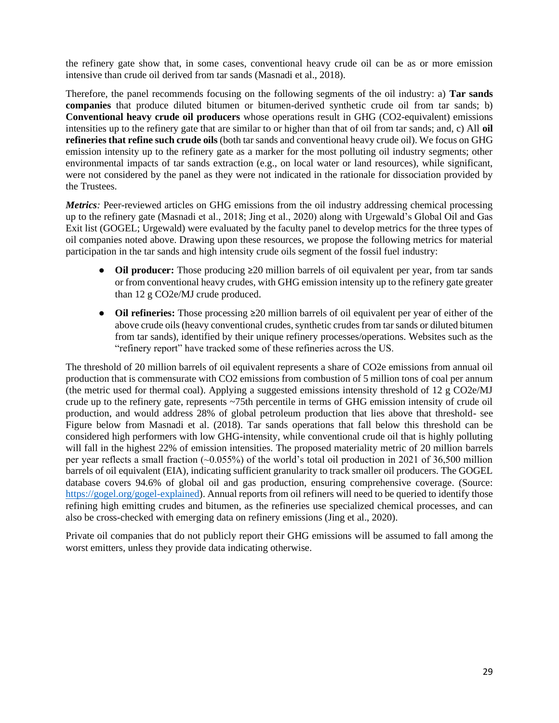the refinery gate show that, in some cases, conventional heavy crude oil can be as or more emission intensive than crude oil derived from tar sands (Masnadi et al., 2018).

Therefore, the panel recommends focusing on the following segments of the oil industry: a) **Tar sands companies** that produce diluted bitumen or bitumen-derived synthetic crude oil from tar sands; b) **Conventional heavy crude oil producers** whose operations result in GHG (CO2-equivalent) emissions intensities up to the refinery gate that are similar to or higher than that of oil from tar sands; and, c) All **oil refineries that refine such crude oils** (both tar sands and conventional heavy crude oil). We focus on GHG emission intensity up to the refinery gate as a marker for the most polluting oil industry segments; other environmental impacts of tar sands extraction (e.g., on local water or land resources), while significant, were not considered by the panel as they were not indicated in the rationale for dissociation provided by the Trustees.

*Metrics*: Peer-reviewed articles on GHG emissions from the oil industry addressing chemical processing up to the refinery gate (Masnadi et al., 2018; Jing et al., 2020) along with Urgewald's Global Oil and Gas Exit list (GOGEL; Urgewald) were evaluated by the faculty panel to develop metrics for the three types of oil companies noted above. Drawing upon these resources, we propose the following metrics for material participation in the tar sands and high intensity crude oils segment of the fossil fuel industry:

- **Oil producer:** Those producing ≥20 million barrels of oil equivalent per year, from tar sands or from conventional heavy crudes, with GHG emission intensity up to the refinery gate greater than 12 g CO2e/MJ crude produced.
- **Oil refineries:** Those processing ≥20 million barrels of oil equivalent per year of either of the above crude oils (heavy conventional crudes, synthetic crudes from tar sands or diluted bitumen from tar sands), identified by their unique refinery processes/operations. Websites such as the "refinery report" have tracked some of these refineries across the US.

The threshold of 20 million barrels of oil equivalent represents a share of CO2e emissions from annual oil production that is commensurate with CO2 emissions from combustion of 5 million tons of coal per annum (the metric used for thermal coal). Applying a suggested emissions intensity threshold of 12 g CO2e/MJ crude up to the refinery gate, represents ~75th percentile in terms of GHG emission intensity of crude oil production, and would address 28% of global petroleum production that lies above that threshold- see Figure below from Masnadi et al. (2018). Tar sands operations that fall below this threshold can be considered high performers with low GHG-intensity, while conventional crude oil that is highly polluting will fall in the highest 22% of emission intensities. The proposed materiality metric of 20 million barrels per year reflects a small fraction (~0.055%) of the world's total oil production in 2021 of 36,500 million barrels of oil equivalent (EIA), indicating sufficient granularity to track smaller oil producers. The GOGEL database covers 94.6% of global oil and gas production, ensuring comprehensive coverage. (Source: [https://gogel.org/gogel-explained\)](https://gogel.org/gogel-explained). Annual reports from oil refiners will need to be queried to identify those refining high emitting crudes and bitumen, as the refineries use specialized chemical processes, and can also be cross-checked with emerging data on refinery emissions (Jing et al., 2020).

Private oil companies that do not publicly report their GHG emissions will be assumed to fall among the worst emitters, unless they provide data indicating otherwise.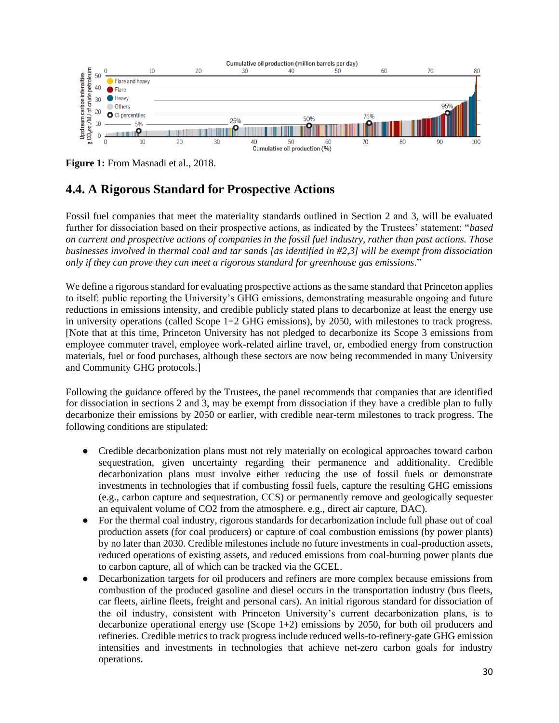

**Figure 1:** From Masnadi et al., 2018.

# <span id="page-29-0"></span>**4.4. A Rigorous Standard for Prospective Actions**

Fossil fuel companies that meet the materiality standards outlined in Section 2 and 3, will be evaluated further for dissociation based on their prospective actions, as indicated by the Trustees' statement: "*based on current and prospective actions of companies in the fossil fuel industry, rather than past actions. Those businesses involved in thermal coal and tar sands [as identified in #2,3] will be exempt from dissociation only if they can prove they can meet a rigorous standard for greenhouse gas emissions*."

We define a rigorous standard for evaluating prospective actions as the same standard that Princeton applies to itself: public reporting the University's GHG emissions, demonstrating measurable ongoing and future reductions in emissions intensity, and credible publicly stated plans to decarbonize at least the energy use in university operations (called Scope 1+2 GHG emissions), by 2050, with milestones to track progress. [Note that at this time, Princeton University has not pledged to decarbonize its Scope 3 emissions from employee commuter travel, employee work-related airline travel, or, embodied energy from construction materials, fuel or food purchases, although these sectors are now being recommended in many University and Community GHG protocols.]

Following the guidance offered by the Trustees, the panel recommends that companies that are identified for dissociation in sections 2 and 3, may be exempt from dissociation if they have a credible plan to fully decarbonize their emissions by 2050 or earlier, with credible near-term milestones to track progress. The following conditions are stipulated:

- Credible decarbonization plans must not rely materially on ecological approaches toward carbon sequestration, given uncertainty regarding their permanence and additionality. Credible decarbonization plans must involve either reducing the use of fossil fuels or demonstrate investments in technologies that if combusting fossil fuels, capture the resulting GHG emissions (e.g., carbon capture and sequestration, CCS) or permanently remove and geologically sequester an equivalent volume of CO2 from the atmosphere. e.g., direct air capture, DAC).
- For the thermal coal industry, rigorous standards for decarbonization include full phase out of coal production assets (for coal producers) or capture of coal combustion emissions (by power plants) by no later than 2030. Credible milestones include no future investments in coal-production assets, reduced operations of existing assets, and reduced emissions from coal-burning power plants due to carbon capture, all of which can be tracked via the GCEL.
- Decarbonization targets for oil producers and refiners are more complex because emissions from combustion of the produced gasoline and diesel occurs in the transportation industry (bus fleets, car fleets, airline fleets, freight and personal cars). An initial rigorous standard for dissociation of the oil industry, consistent with Princeton University's current decarbonization plans, is to decarbonize operational energy use (Scope 1+2) emissions by 2050, for both oil producers and refineries. Credible metrics to track progress include reduced wells-to-refinery-gate GHG emission intensities and investments in technologies that achieve net-zero carbon goals for industry operations.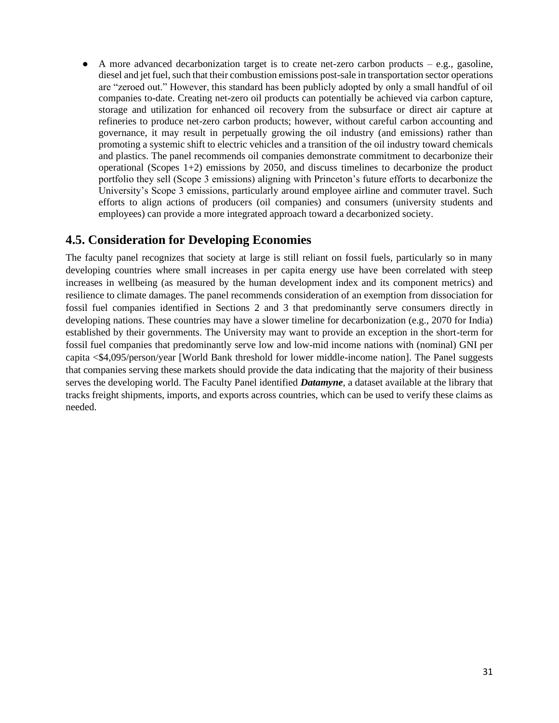$\bullet$  A more advanced decarbonization target is to create net-zero carbon products – e.g., gasoline, diesel and jet fuel, such that their combustion emissions post-sale in transportation sector operations are "zeroed out." However, this standard has been publicly adopted by only a small handful of oil companies to-date. Creating net-zero oil products can potentially be achieved via carbon capture, storage and utilization for enhanced oil recovery from the subsurface or direct air capture at refineries to produce net-zero carbon products; however, without careful carbon accounting and governance, it may result in perpetually growing the oil industry (and emissions) rather than promoting a systemic shift to electric vehicles and a transition of the oil industry toward chemicals and plastics. The panel recommends oil companies demonstrate commitment to decarbonize their operational (Scopes  $1+2$ ) emissions by 2050, and discuss timelines to decarbonize the product portfolio they sell (Scope 3 emissions) aligning with Princeton's future efforts to decarbonize the University's Scope 3 emissions, particularly around employee airline and commuter travel. Such efforts to align actions of producers (oil companies) and consumers (university students and employees) can provide a more integrated approach toward a decarbonized society.

## <span id="page-30-0"></span>**4.5. Consideration for Developing Economies**

The faculty panel recognizes that society at large is still reliant on fossil fuels, particularly so in many developing countries where small increases in per capita energy use have been correlated with steep increases in wellbeing (as measured by the human development index and its component metrics) and resilience to climate damages. The panel recommends consideration of an exemption from dissociation for fossil fuel companies identified in Sections 2 and 3 that predominantly serve consumers directly in developing nations. These countries may have a slower timeline for decarbonization (e.g., 2070 for India) established by their governments. The University may want to provide an exception in the short-term for fossil fuel companies that predominantly serve low and low-mid income nations with (nominal) GNI per capita <\$4,095/person/year [World Bank threshold for lower middle-income nation]. The Panel suggests that companies serving these markets should provide the data indicating that the majority of their business serves the developing world. The Faculty Panel identified *Datamyne*, a dataset available at the library that tracks freight shipments, imports, and exports across countries, which can be used to verify these claims as needed.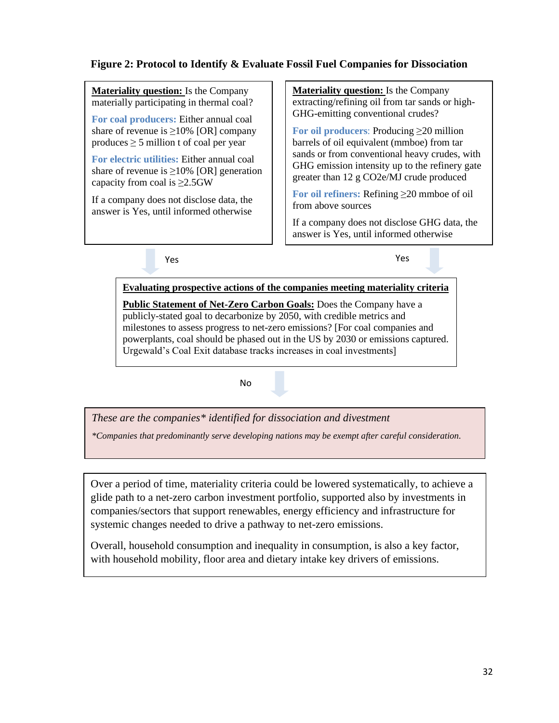### **Figure 2: Protocol to Identify & Evaluate Fossil Fuel Companies for Dissociation**

**Materiality question:** Is the Company materially participating in thermal coal?

**For coal producers:** Either annual coal share of revenue is  $\geq$ 10% [OR] company produces  $\geq$  5 million t of coal per year

**For electric utilities:** Either annual coal share of revenue is  $\geq$ 10% [OR] generation capacity from coal is  $\geq$ 2.5GW

If a company does not disclose data, the answer is Yes, until informed otherwise

**Materiality question:** Is the Company extracting/refining oil from tar sands or high-GHG-emitting conventional crudes?

**For oil producers**: Producing ≥20 million barrels of oil equivalent (mmboe) from tar sands or from conventional heavy crudes, with GHG emission intensity up to the refinery gate greater than 12 g CO2e/MJ crude produced

**For oil refiners:** Refining ≥20 mmboe of oil from above sources

If a company does not disclose GHG data, the answer is Yes, until informed otherwise

Yes Yes

**Evaluating prospective actions of the companies meeting materiality criteria Public Statement of Net-Zero Carbon Goals:** Does the Company have a publicly-stated goal to decarbonize by 2050, with credible metrics and milestones to assess progress to net-zero emissions? [For coal companies and powerplants, coal should be phased out in the US by 2030 or emissions captured. Urgewald's Coal Exit database tracks increases in coal investments]

No

*These are the companies\* identified for dissociation and divestment*

*\*Companies that predominantly serve developing nations may be exempt after careful consideration.*

Over a period of time, materiality criteria could be lowered systematically, to achieve a glide path to a net-zero carbon investment portfolio, supported also by investments in companies/sectors that support renewables, energy efficiency and infrastructure for systemic changes needed to drive a pathway to net-zero emissions.

Overall, household consumption and inequality in consumption, is also a key factor, with household mobility, floor area and dietary intake key drivers of emissions.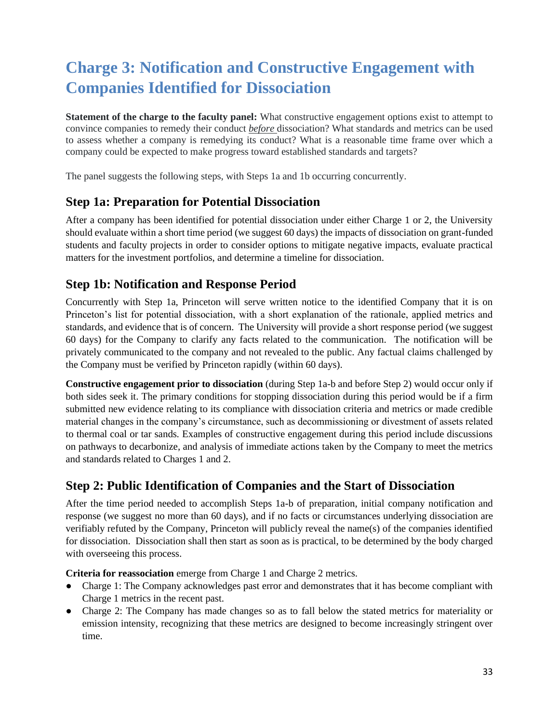# <span id="page-32-0"></span>**Charge 3: Notification and Constructive Engagement with Companies Identified for Dissociation**

**Statement of the charge to the faculty panel:** What constructive engagement options exist to attempt to convince companies to remedy their conduct *before* dissociation? What standards and metrics can be used to assess whether a company is remedying its conduct? What is a reasonable time frame over which a company could be expected to make progress toward established standards and targets?

The panel suggests the following steps, with Steps 1a and 1b occurring concurrently.

## <span id="page-32-1"></span>**Step 1a: Preparation for Potential Dissociation**

After a company has been identified for potential dissociation under either Charge 1 or 2, the University should evaluate within a short time period (we suggest 60 days) the impacts of dissociation on grant-funded students and faculty projects in order to consider options to mitigate negative impacts, evaluate practical matters for the investment portfolios, and determine a timeline for dissociation.

### <span id="page-32-2"></span>**Step 1b: Notification and Response Period**

Concurrently with Step 1a, Princeton will serve written notice to the identified Company that it is on Princeton's list for potential dissociation, with a short explanation of the rationale, applied metrics and standards, and evidence that is of concern. The University will provide a short response period (we suggest 60 days) for the Company to clarify any facts related to the communication. The notification will be privately communicated to the company and not revealed to the public. Any factual claims challenged by the Company must be verified by Princeton rapidly (within 60 days).

**Constructive engagement prior to dissociation** (during Step 1a-b and before Step 2) would occur only if both sides seek it. The primary conditions for stopping dissociation during this period would be if a firm submitted new evidence relating to its compliance with dissociation criteria and metrics or made credible material changes in the company's circumstance, such as decommissioning or divestment of assets related to thermal coal or tar sands. Examples of constructive engagement during this period include discussions on pathways to decarbonize, and analysis of immediate actions taken by the Company to meet the metrics and standards related to Charges 1 and 2.

# <span id="page-32-3"></span>**Step 2: Public Identification of Companies and the Start of Dissociation**

After the time period needed to accomplish Steps 1a-b of preparation, initial company notification and response (we suggest no more than 60 days), and if no facts or circumstances underlying dissociation are verifiably refuted by the Company, Princeton will publicly reveal the name(s) of the companies identified for dissociation. Dissociation shall then start as soon as is practical, to be determined by the body charged with overseeing this process.

**Criteria for reassociation** emerge from Charge 1 and Charge 2 metrics.

- Charge 1: The Company acknowledges past error and demonstrates that it has become compliant with Charge 1 metrics in the recent past.
- Charge 2: The Company has made changes so as to fall below the stated metrics for materiality or emission intensity, recognizing that these metrics are designed to become increasingly stringent over time.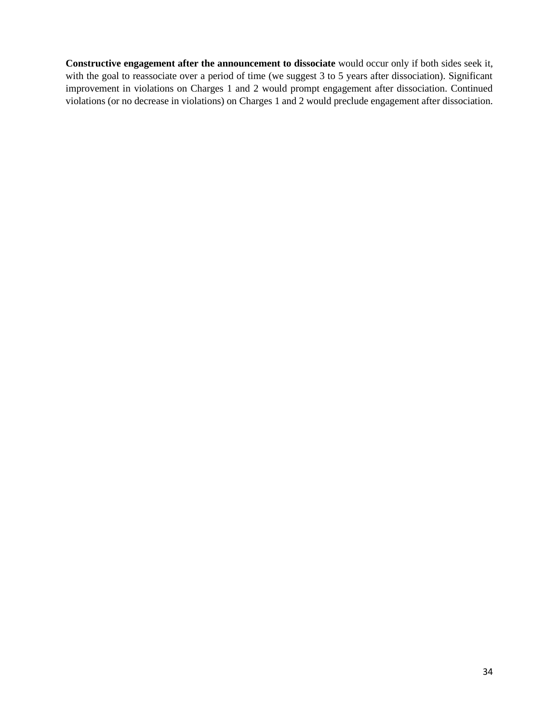**Constructive engagement after the announcement to dissociate** would occur only if both sides seek it, with the goal to reassociate over a period of time (we suggest 3 to 5 years after dissociation). Significant improvement in violations on Charges 1 and 2 would prompt engagement after dissociation. Continued violations (or no decrease in violations) on Charges 1 and 2 would preclude engagement after dissociation.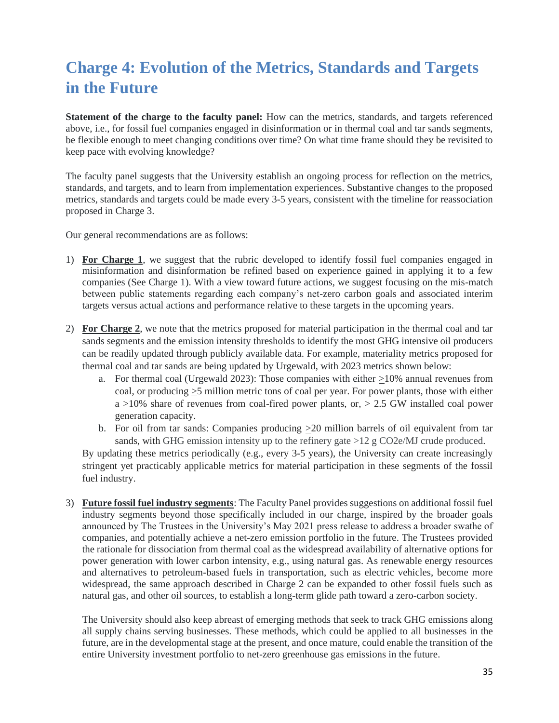# <span id="page-34-0"></span>**Charge 4: Evolution of the Metrics, Standards and Targets in the Future**

**Statement of the charge to the faculty panel:** How can the metrics, standards, and targets referenced above, i.e., for fossil fuel companies engaged in disinformation or in thermal coal and tar sands segments, be flexible enough to meet changing conditions over time? On what time frame should they be revisited to keep pace with evolving knowledge?

The faculty panel suggests that the University establish an ongoing process for reflection on the metrics, standards, and targets, and to learn from implementation experiences. Substantive changes to the proposed metrics, standards and targets could be made every 3-5 years, consistent with the timeline for reassociation proposed in Charge 3.

Our general recommendations are as follows:

- 1) **For Charge 1**, we suggest that the rubric developed to identify fossil fuel companies engaged in misinformation and disinformation be refined based on experience gained in applying it to a few companies (See Charge 1). With a view toward future actions, we suggest focusing on the mis-match between public statements regarding each company's net-zero carbon goals and associated interim targets versus actual actions and performance relative to these targets in the upcoming years.
- 2) **For Charge 2**, we note that the metrics proposed for material participation in the thermal coal and tar sands segments and the emission intensity thresholds to identify the most GHG intensive oil producers can be readily updated through publicly available data. For example, materiality metrics proposed for thermal coal and tar sands are being updated by Urgewald, with 2023 metrics shown below:
	- a. For thermal coal (Urgewald 2023): Those companies with either >10% annual revenues from coal, or producing  $\geq$ 5 million metric tons of coal per year. For power plants, those with either  $a > 10\%$  share of revenues from coal-fired power plants, or,  $> 2.5$  GW installed coal power generation capacity.
	- b. For oil from tar sands: Companies producing  $\geq 20$  million barrels of oil equivalent from tar sands, with GHG emission intensity up to the refinery gate >12 g CO2e/MJ crude produced.

By updating these metrics periodically (e.g., every 3-5 years), the University can create increasingly stringent yet practicably applicable metrics for material participation in these segments of the fossil fuel industry.

3) **Future fossil fuel industry segments**: The Faculty Panel provides suggestions on additional fossil fuel industry segments beyond those specifically included in our charge, inspired by the broader goals announced by The Trustees in the University's May 2021 press release to address a broader swathe of companies, and potentially achieve a net-zero emission portfolio in the future. The Trustees provided the rationale for dissociation from thermal coal as the widespread availability of alternative options for power generation with lower carbon intensity, e.g., using natural gas. As renewable energy resources and alternatives to petroleum-based fuels in transportation, such as electric vehicles, become more widespread, the same approach described in Charge 2 can be expanded to other fossil fuels such as natural gas, and other oil sources, to establish a long-term glide path toward a zero-carbon society.

The University should also keep abreast of emerging methods that seek to track GHG emissions along all supply chains serving businesses. These methods, which could be applied to all businesses in the future, are in the developmental stage at the present, and once mature, could enable the transition of the entire University investment portfolio to net-zero greenhouse gas emissions in the future.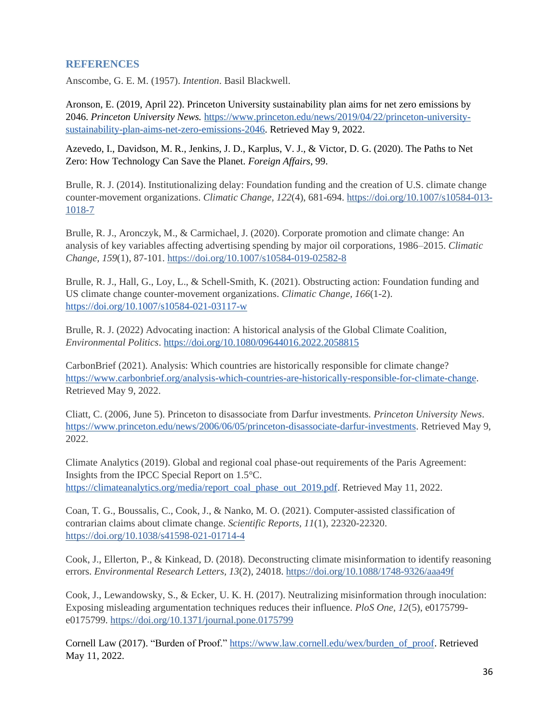### <span id="page-35-0"></span>**REFERENCES**

Anscombe, G. E. M. (1957). *Intention*. Basil Blackwell.

Aronson, E. (2019, April 22). Princeton University sustainability plan aims for net zero emissions by 2046. *Princeton University News.* [https://www.princeton.edu/news/2019/04/22/princeton-university](https://www.princeton.edu/news/2019/04/22/princeton-university-sustainability-plan-aims-net-zero-emissions-2046)[sustainability-plan-aims-net-zero-emissions-2046.](https://www.princeton.edu/news/2019/04/22/princeton-university-sustainability-plan-aims-net-zero-emissions-2046) Retrieved May 9, 2022.

Azevedo, I., Davidson, M. R., Jenkins, J. D., Karplus, V. J., & Victor, D. G. (2020). The Paths to Net Zero: How Technology Can Save the Planet. *Foreign Affairs*, 99.

Brulle, R. J. (2014). Institutionalizing delay: Foundation funding and the creation of U.S. climate change counter-movement organizations. *Climatic Change, 122*(4), 681-694. [https://doi.org/10.1007/s10584-013-](https://doi.org/10.1007/s10584-013-1018-7) [1018-7](https://doi.org/10.1007/s10584-013-1018-7)

Brulle, R. J., Aronczyk, M., & Carmichael, J. (2020). Corporate promotion and climate change: An analysis of key variables affecting advertising spending by major oil corporations, 1986–2015. *Climatic Change, 159*(1), 87-101.<https://doi.org/10.1007/s10584-019-02582-8>

Brulle, R. J., Hall, G., Loy, L., & Schell-Smith, K. (2021). Obstructing action: Foundation funding and US climate change counter-movement organizations. *Climatic Change, 166*(1-2)[.](https://doi.org/10.1007/s10584-021-03117-w) <https://doi.org/10.1007/s10584-021-03117-w>

Brulle, R. J. (2022) Advocating inaction: A historical analysis of the Global Climate Coalition, *Environmental Politics*.<https://doi.org/10.1080/09644016.2022.2058815>

CarbonBrief (2021). Analysis: Which countries are historically responsible for climate change? [https://www.carbonbrief.org/analysis-which-countries-are-historically-responsible-for-climate-change.](https://www.carbonbrief.org/analysis-which-countries-are-historically-responsible-for-climate-change) Retrieved May 9, 2022.

Cliatt, C. (2006, June 5). Princeton to disassociate from Darfur investments. *Princeton University News*. [https://www.princeton.edu/news/2006/06/05/princeton-disassociate-darfur-investments.](https://www.princeton.edu/news/2006/06/05/princeton-disassociate-darfur-investments) Retrieved May 9, 2022.

Climate Analytics (2019). Global and regional coal phase-out requirements of the Paris Agreement: Insights from the IPCC Special Report on 1.5°C. [https://climateanalytics.org/media/report\\_coal\\_phase\\_out\\_2019.pdf.](https://climateanalytics.org/media/report_coal_phase_out_2019.pdf) Retrieved May 11, 2022.

Coan, T. G., Boussalis, C., Cook, J., & Nanko, M. O. (2021). Computer-assisted classification of contrarian claims about climate change. *Scientific Reports, 11*(1), 22320-22320. <https://doi.org/10.1038/s41598-021-01714-4>

Cook, J., Ellerton, P., & Kinkead, D. (2018). Deconstructing climate misinformation to identify reasoning errors. *Environmental Research Letters, 13*(2), 24018.<https://doi.org/10.1088/1748-9326/aaa49f>

Cook, J., Lewandowsky, S., & Ecker, U. K. H. (2017). Neutralizing misinformation through inoculation: Exposing misleading argumentation techniques reduces their influence. *PloS One, 12*(5), e0175799 e0175799.<https://doi.org/10.1371/journal.pone.0175799>

Cornell Law (2017). "Burden of Proof." [https://www.law.cornell.edu/wex/burden\\_of\\_proof.](https://www.law.cornell.edu/wex/burden_of_proof) Retrieved May 11, 2022.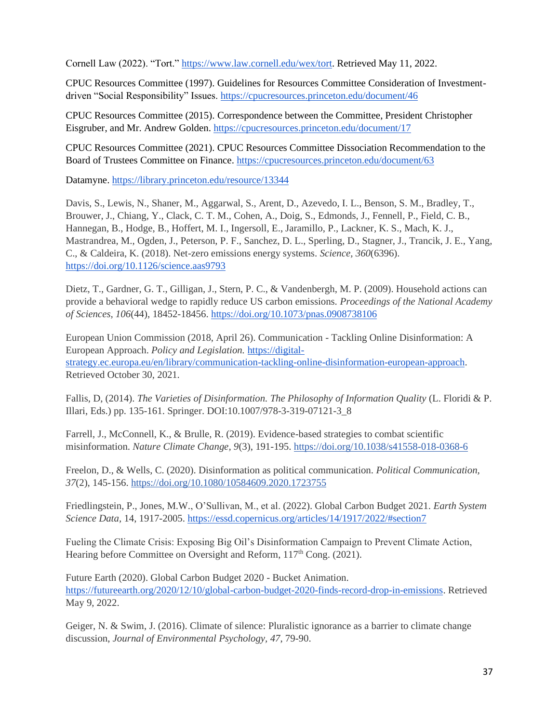Cornell Law (2022). "Tort." [https://www.law.cornell.edu/wex/tort.](https://www.law.cornell.edu/wex/tort) Retrieved May 11, 2022.

CPUC Resources Committee (1997). Guidelines for Resources Committee Consideration of Investmentdriven "Social Responsibility" Issues.<https://cpucresources.princeton.edu/document/46>

CPUC Resources Committee (2015). [Correspondence between the Committee, President Christopher](https://cpucresources.princeton.edu/document/17)  [Eisgruber, and Mr. Andrew Golden. https://cpucresources.princeton.edu/document/17](https://cpucresources.princeton.edu/document/17) 

CPUC Resources Committee (2021). CPUC Resources Committee Dissociation Recommendation to the Board of Trustees Committee on Finance.<https://cpucresources.princeton.edu/document/63>

Datamyne. [https://library.princeton.edu/resource/13344](https://nam12.safelinks.protection.outlook.com/?url=https%3A%2F%2Flibrary.princeton.edu%2Fresource%2F13344&data=05%7C01%7Ckewalt%40princeton.edu%7Ce5d07462fdbe4d1f0c2308da2df66a9d%7C2ff601167431425db5af077d7791bda4%7C0%7C0%7C637872833606887437%7CUnknown%7CTWFpbGZsb3d8eyJWIjoiMC4wLjAwMDAiLCJQIjoiV2luMzIiLCJBTiI6Ik1haWwiLCJXVCI6Mn0%3D%7C3000%7C%7C%7C&sdata=X03qp%2FBVQPeS3X5D8MyR70YAFaNW3T94cKQmLjiL9QQ%3D&reserved=0)

Davis, S., Lewis, N., Shaner, M., Aggarwal, S., Arent, D., Azevedo, I. L., Benson, S. M., Bradley, T., Brouwer, J., Chiang, Y., Clack, C. T. M., Cohen, A., Doig, S., Edmonds, J., Fennell, P., Field, C. B., Hannegan, B., Hodge, B., Hoffert, M. I., Ingersoll, E., Jaramillo, P., Lackner, K. S., Mach, K. J., Mastrandrea, M., Ogden, J., Peterson, P. F., Sanchez, D. L., Sperling, D., Stagner, J., Trancik, J. E., Yang, C., & Caldeira, K. (2018). Net-zero emissions energy systems. *Science, 360*(6396). <https://doi.org/10.1126/science.aas9793>

Dietz, T., Gardner, G. T., Gilligan, J., Stern, P. C., & Vandenbergh, M. P. (2009). Household actions can provide a behavioral wedge to rapidly reduce US carbon emissions. *Proceedings of the National Academy of Sciences, 106*(44), 18452-18456.<https://doi.org/10.1073/pnas.0908738106>

European Union Commission (2018, April 26). Communication - Tackling Online Disinformation: A European Approach. *Policy and Legislation.* [https://digital](https://digital-strategy.ec.europa.eu/en/library/communication-tackling-online-disinformation-european-approach)[strategy.ec.europa.eu/en/library/communication-tackling-online-disinformation-european-approach.](https://digital-strategy.ec.europa.eu/en/library/communication-tackling-online-disinformation-european-approach) Retrieved October 30, 2021.

Fallis, D, (2014). *The Varieties of Disinformation. The Philosophy of Information Quality* (L. Floridi & P. Illari, Eds.) pp. 135-161. Springer. DOI:10.1007/978-3-319-07121-3\_8

Farrell, J., McConnell, K., & Brulle, R. (2019). Evidence-based strategies to combat scientific misinformation. *Nature Climate Change, 9*(3), 191-195.<https://doi.org/10.1038/s41558-018-0368-6>

Freelon, D., & Wells, C. (2020). Disinformation as political communication. *Political Communication, 37*(2), 145-156.<https://doi.org/10.1080/10584609.2020.1723755>

Friedlingstein, P., Jones, M.W., O'Sullivan, M., et al. (2022). Global Carbon Budget 2021. *Earth System Science Data,* 14, 1917-2005.<https://essd.copernicus.org/articles/14/1917/2022/#section7>

Fueling the Climate Crisis: Exposing Big Oil's Disinformation Campaign to Prevent Climate Action, Hearing before Committee on Oversight and Reform, 117<sup>th</sup> Cong. (2021).

Future Earth (2020). Global Carbon Budget 2020 - Bucket Animation. [https://futureearth.org/2020/12/10/global-carbon-budget-2020-finds-record-drop-in-emissions.](https://futureearth.org/2020/12/10/global-carbon-budget-2020-finds-record-drop-in-emissions) Retrieved May 9, 2022.

Geiger, N. & Swim, J. (2016). Climate of silence: Pluralistic ignorance as a barrier to climate change discussion, *Journal of Environmental Psychology, 47*, 79-90.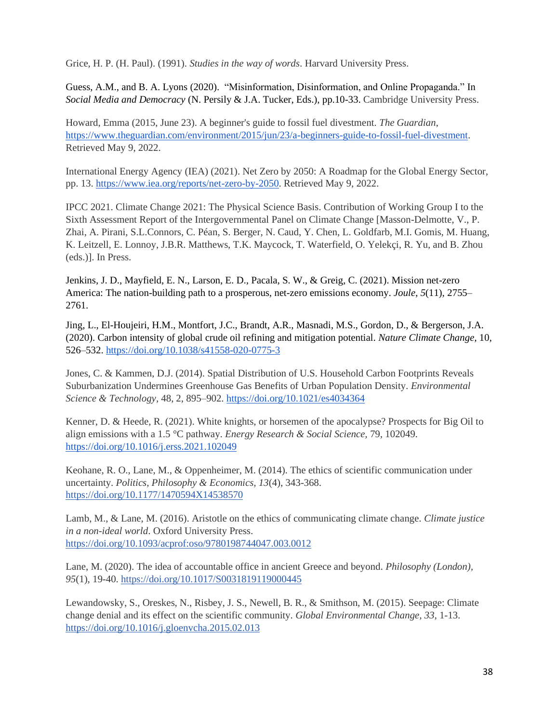Grice, H. P. (H. Paul). (1991). *Studies in the way of words*. Harvard University Press.

Guess, A.M., and B. A. Lyons (2020). "Misinformation, Disinformation, and Online Propaganda." In *Social Media and Democracy* (N. Persily & J.A. Tucker, Eds.), pp.10-33. Cambridge University Press.

Howard, Emma (2015, June 23). A beginner's guide to fossil fuel divestment. *The Guardian*, [https://www.theguardian.com/environment/2015/jun/23/a-beginners-guide-to-fossil-fuel-divestment.](https://www.theguardian.com/environment/2015/jun/23/a-beginners-guide-to-fossil-fuel-divestment) Retrieved May 9, 2022.

International Energy Agency (IEA) (2021). Net Zero by 2050: A Roadmap for the Global Energy Sector, pp. 13. [https://www.iea.org/reports/net-zero-by-2050.](https://www.iea.org/reports/net-zero-by-2050) Retrieved May 9, 2022.

IPCC 2021. Climate Change 2021: The Physical Science Basis. Contribution of Working Group I to the Sixth Assessment Report of the Intergovernmental Panel on Climate Change [Masson-Delmotte, V., P. Zhai, A. Pirani, S.L.Connors, C. Péan, S. Berger, N. Caud, Y. Chen, L. Goldfarb, M.I. Gomis, M. Huang, K. Leitzell, E. Lonnoy, J.B.R. Matthews, T.K. Maycock, T. Waterfield, O. Yelekçi, R. Yu, and B. Zhou (eds.)]. In Press.

Jenkins, J. D., Mayfield, E. N., Larson, E. D., Pacala, S. W., & Greig, C. (2021). Mission net-zero America: The nation-building path to a prosperous, net-zero emissions economy. *Joule*, *5*(11), 2755– 2761.

Jing, L., El-Houjeiri, H.M., Montfort, J.C., Brandt, A.R., Masnadi, M.S., Gordon, D., & Bergerson, J.A. (2020). Carbon intensity of global crude oil refining and mitigation potential. *Nature Climate Change,* 10, 526–532.<https://doi.org/10.1038/s41558-020-0775-3>

Jones, C. & Kammen, D.J. (2014). Spatial Distribution of U.S. Household Carbon Footprints Reveals Suburbanization Undermines Greenhouse Gas Benefits of Urban Population Density. *Environmental Science & Technology,* 48, 2, 895–902.<https://doi.org/10.1021/es4034364>

Kenner, D. & Heede, R. (2021). White knights, or horsemen of the apocalypse? Prospects for Big Oil to align emissions with a 1.5 °C pathway. *Energy Research & Social Science,* 79, 102049. <https://doi.org/10.1016/j.erss.2021.102049>

Keohane, R. O., Lane, M., & Oppenheimer, M. (2014). The ethics of scientific communication under uncertainty. *Politics, Philosophy & Economics, 13*(4), 343-368. <https://doi.org/10.1177/1470594X14538570>

Lamb, M., & Lane, M. (2016). Aristotle on the ethics of communicating climate change. *Climate justice in a non-ideal world*. Oxford University Press. <https://doi.org/10.1093/acprof:oso/9780198744047.003.0012>

Lane, M. (2020). The idea of accountable office in ancient Greece and beyond. *Philosophy (London), 95*(1), 19-40.<https://doi.org/10.1017/S0031819119000445>

Lewandowsky, S., Oreskes, N., Risbey, J. S., Newell, B. R., & Smithson, M. (2015). Seepage: Climate change denial and its effect on the scientific community. *Global Environmental Change, 33*, 1-13. <https://doi.org/10.1016/j.gloenvcha.2015.02.013>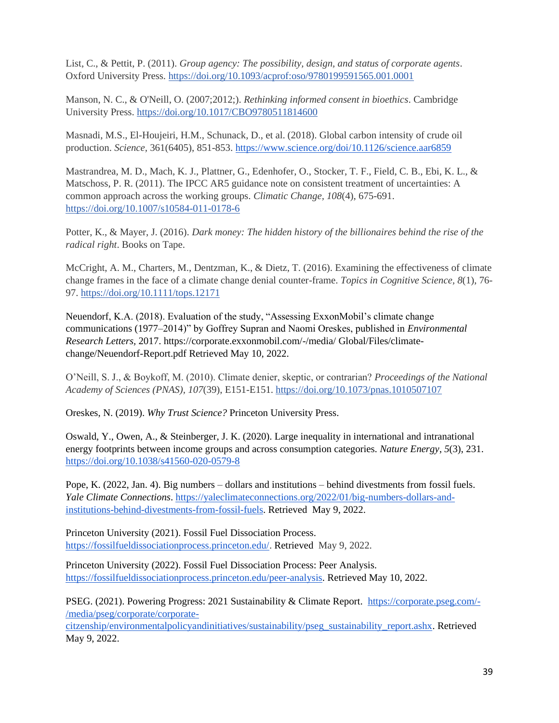List, C., & Pettit, P. (2011). *Group agency: The possibility, design, and status of corporate agents*. Oxford University Press.<https://doi.org/10.1093/acprof:oso/9780199591565.001.0001>

Manson, N. C., & O'Neill, O. (2007;2012;). *Rethinking informed consent in bioethics*. Cambridge University Press.<https://doi.org/10.1017/CBO9780511814600>

Masnadi, M.S., El-Houjeiri, H.M., Schunack, D., et al. (2018). Global carbon intensity of crude oil production. *Science,* 361(6405), 851-853[. https://www.science.org/doi/10.1126/science.aar6859](https://www.science.org/doi/10.1126/science.aar6859)

Mastrandrea, M. D., Mach, K. J., Plattner, G., Edenhofer, O., Stocker, T. F., Field, C. B., Ebi, K. L., & Matschoss, P. R. (2011). The IPCC AR5 guidance note on consistent treatment of uncertainties: A common approach across the working groups. *Climatic Change, 108*(4), 675-691. <https://doi.org/10.1007/s10584-011-0178-6>

Potter, K., & Mayer, J. (2016). *Dark money: The hidden history of the billionaires behind the rise of the radical right*. Books on Tape.

McCright, A. M., Charters, M., Dentzman, K., & Dietz, T. (2016). Examining the effectiveness of climate change frames in the face of a climate change denial counter-frame. *Topics in Cognitive Science, 8*(1), 76- 97.<https://doi.org/10.1111/tops.12171>

Neuendorf, K.A. (2018). Evaluation of the study, "Assessing ExxonMobil's climate change communications (1977–2014)" by Goffrey Supran and Naomi Oreskes, published in *Environmental Research Letters,* 2017. https://corporate.exxonmobil.com/-/media/ Global/Files/climatechange/Neuendorf-Report.pdf Retrieved May 10, 2022.

O'Neill, S. J., & Boykoff, M. (2010). Climate denier, skeptic, or contrarian? *Proceedings of the National Academy of Sciences (PNAS), 107*(39), E151-E151.<https://doi.org/10.1073/pnas.1010507107>

Oreskes, N. (2019). *Why Trust Science?* Princeton University Press.

Oswald, Y., Owen, A., & Steinberger, J. K. (2020). Large inequality in international and intranational energy footprints between income groups and across consumption categories. *Nature Energy*, *5*(3), 231. <https://doi.org/10.1038/s41560-020-0579-8>

Pope, K. (2022, Jan. 4). Big numbers – dollars and institutions – behind divestments from fossil fuels. *Yale Climate Connections*. [https://yaleclimateconnections.org/2022/01/big-numbers-dollars-and](https://yaleclimateconnections.org/2022/01/big-numbers-dollars-and-institutions-behind-divestments-from-fossil-fuels)[institutions-behind-divestments-from-fossil-fuels.](https://yaleclimateconnections.org/2022/01/big-numbers-dollars-and-institutions-behind-divestments-from-fossil-fuels) Retrieved May 9, 2022.

Princeton University (2021). Fossil Fuel Dissociation Process. [https://fossilfueldissociationprocess.princeton.edu/.](https://fossilfueldissociationprocess.princeton.edu/) Retrieved May 9, 2022.

Princeton University (2022). Fossil Fuel Dissociation Process: Peer Analysis. [https://fossilfueldissociationprocess.princeton.edu/peer-analysis.](https://fossilfueldissociationprocess.princeton.edu/peer-analysis) Retrieved May 10, 2022.

PSEG. (2021). Powering Progress: 2021 Sustainability & Climate Report. [https://corporate.pseg.com/-](https://corporate.pseg.com/-/media/pseg/corporate/corporate-citzenship/environmentalpolicyandinitiatives/sustainability/pseg_sustainability_report.ashx) [/media/pseg/corporate/corporate-](https://corporate.pseg.com/-/media/pseg/corporate/corporate-citzenship/environmentalpolicyandinitiatives/sustainability/pseg_sustainability_report.ashx)

[citzenship/environmentalpolicyandinitiatives/sustainability/pseg\\_sustainability\\_report.ashx.](https://corporate.pseg.com/-/media/pseg/corporate/corporate-citzenship/environmentalpolicyandinitiatives/sustainability/pseg_sustainability_report.ashx) Retrieved May 9, 2022.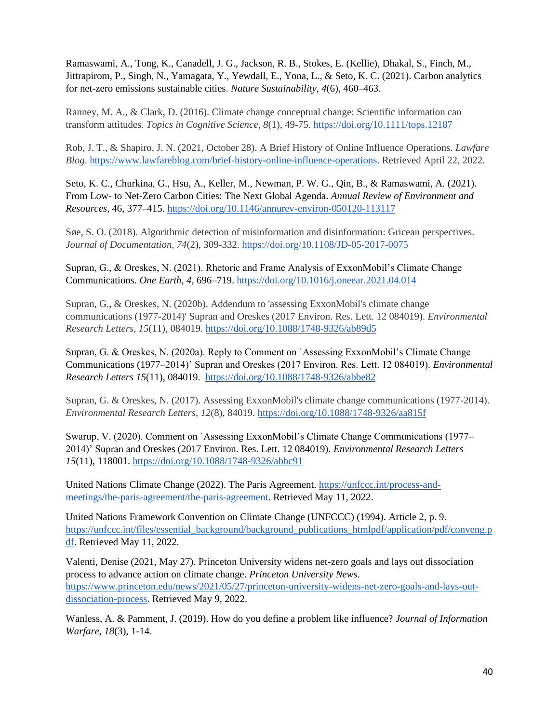Ramaswami, A., Tong, K., Canadell, J. G., Jackson, R. B., Stokes, E. (Kellie), Dhakal, S., Finch, M., Jittrapirom, P., Singh, N., Yamagata, Y., Yewdall, E., Yona, L., & Seto, K. C. (2021). Carbon analytics for net-zero emissions sustainable cities. *Nature Sustainability*, *4*(6), 460–463.

Ranney, M. A., & Clark, D. (2016). Climate change conceptual change: Scientific information can transform attitudes. *Topics in Cognitive Science, 8*(1), 49-75.<https://doi.org/10.1111/tops.12187>

Rob, J. T., & Shapiro, J. N. (2021, October 28). A Brief History of Online Influence Operations. *Lawfare Blog*[.](https://www.lawfareblog.com/brief-history-online-influence-operations) [https://www.lawfareblog.com/brief-history-online-influence-operations.](https://www.lawfareblog.com/brief-history-online-influence-operations) Retrieved April 22, 2022.

Seto, K. C., Churkina, G., Hsu, A., Keller, M., Newman, P. W. G., Qin, B., & Ramaswami, A. (2021). From Low- to Net-Zero Carbon Cities: The Next Global Agenda. *Annual Review of Environment and Resources*, 46, 377–415.<https://doi.org/10.1146/annurev-environ-050120-113117>

Søe, S. O. (2018). Algorithmic detection of misinformation and disinformation: Gricean perspectives. *Journal of Documentation, 74*(2), 309-332.<https://doi.org/10.1108/JD-05-2017-0075>

Supran, G., & Oreskes, N. (2021). Rhetoric and Frame Analysis of ExxonMobil's Climate Change Communications. *One Earth, 4*, 696–719[.](https://doi.org/10.1016/j.oneear.2021.04.014) <https://doi.org/10.1016/j.oneear.2021.04.014>

Supran, G., & Oreskes, N. (2020b). Addendum to 'assessing ExxonMobil's climate change communications (1977-2014)' Supran and Oreskes (2017 Environ. Res. Lett. 12 084019). *Environmental Research Letters, 15*(11), 084019[.](https://doi.org/10.1088/1748-9326/ab89d5) <https://doi.org/10.1088/1748-9326/ab89d5>

Supran, G. & Oreskes, N. (2020a). Reply to Comment on `Assessing ExxonMobil's Climate Change Communications (1977–2014)' Supran and Oreskes (2017 Environ. Res. Lett. 12 084019). *Environmental Research Letters 15*(11), 084019.<https://doi.org/10.1088/1748-9326/abbe82>

Supran, G. & Oreskes, N. (2017). Assessing ExxonMobil's climate change communications (1977-2014). *Environmental Research Letters, 12*(8), 84019.<https://doi.org/10.1088/1748-9326/aa815f>

Swarup, V. (2020). Comment on `Assessing ExxonMobil's Climate Change Communications (1977– 2014)' Supran and Oreskes (2017 Environ. Res. Lett. 12 084019). *Environmental Research Letters 15*(11), 118001[.](https://doi.org/10.1088/1748-9326/abbc91) <https://doi.org/10.1088/1748-9326/abbc91>

United Nations Climate Change (2022). The Paris Agreement. [https://unfccc.int/process-and](https://unfccc.int/process-and-meetings/the-paris-agreement/the-paris-agreement)[meetings/the-paris-agreement/the-paris-agreement.](https://unfccc.int/process-and-meetings/the-paris-agreement/the-paris-agreement) Retrieved May 11, 2022.

United Nations Framework Convention on Climate Change (UNFCCC) (1994). Article 2, p. 9. [https://unfccc.int/files/essential\\_background/background\\_publications\\_htmlpdf/application/pdf/conveng.p](https://unfccc.int/files/essential_background/background_publications_htmlpdf/application/pdf/conveng.pdf) [df.](https://unfccc.int/files/essential_background/background_publications_htmlpdf/application/pdf/conveng.pdf) Retrieved May 11, 2022.

Valenti, Denise (2021, May 27). Princeton University widens net-zero goals and lays out dissociation process to advance action on climate change. *Princeton University News*. [https://www.princeton.edu/news/2021/05/27/princeton-university-widens-net-zero-goals-and-lays-out](https://www.princeton.edu/news/2021/05/27/princeton-university-widens-net-zero-goals-and-lays-out-dissociation-process)[dissociation-process.](https://www.princeton.edu/news/2021/05/27/princeton-university-widens-net-zero-goals-and-lays-out-dissociation-process) Retrieved May 9, 2022.

Wanless, A. & Pamment, J. (2019). How do you define a problem like influence? *Journal of Information Warfare*, *18*(3), 1-14.